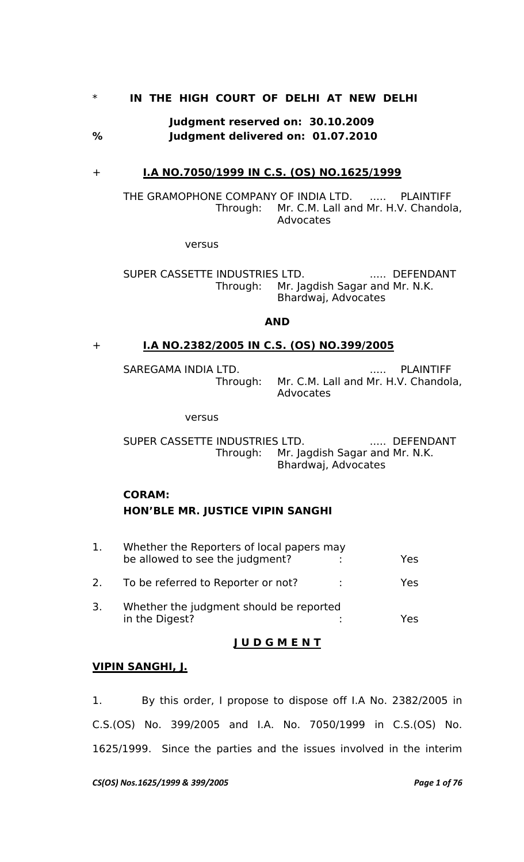## \* **IN THE HIGH COURT OF DELHI AT NEW DELHI**

**Judgment reserved on: 30.10.2009 % Judgment delivered on: 01.07.2010**

#### + **I.A NO.7050/1999 IN C.S. (OS) NO.1625/1999**

THE GRAMOPHONE COMPANY OF INDIA LTD. ..... PLAINTIFF<br>Through: Mr. C.M. Lall and Mr. H.V. Chandol Mr. C.M. Lall and Mr. H.V. Chandola, Advocates

versus

SUPER CASSETTE INDUSTRIES LTD. ..... DEFENDANT Through: Mr. Jagdish Sagar and Mr. N.K. Bhardwaj, Advocates

#### **AND**

#### + **I.A NO.2382/2005 IN C.S. (OS) NO.399/2005**

SAREGAMA INDIA LTD. ..... PLAINTIFF Through: Mr. C.M. Lall and Mr. H.V. Chandola, Advocates

versus

SUPER CASSETTE INDUSTRIES LTD. ..... DEFENDANT Through: Mr. Jagdish Sagar and Mr. N.K. Bhardwaj, Advocates

# **CORAM: HON"BLE MR. JUSTICE VIPIN SANGHI**

| 1. | Whether the Reporters of local papers may<br>be allowed to see the judgment? | Yes  |
|----|------------------------------------------------------------------------------|------|
| 2. | To be referred to Reporter or not?                                           | Yes. |
| 3. | Whether the judgment should be reported<br>in the Digest?                    | Aς   |

## **J U D G M E N T**

## **VIPIN SANGHI, J.**

1. By this order, I propose to dispose off I.A No. 2382/2005 in C.S.(OS) No. 399/2005 and I.A. No. 7050/1999 in C.S.(OS) No. 1625/1999. Since the parties and the issues involved in the interim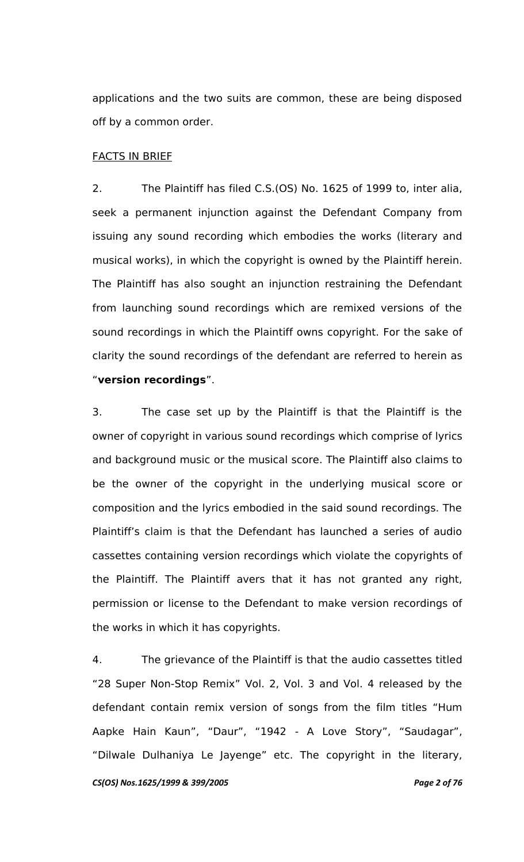applications and the two suits are common, these are being disposed off by a common order.

#### FACTS IN BRIEF

2. The Plaintiff has filed C.S.(OS) No. 1625 of 1999 to, inter alia, seek a permanent injunction against the Defendant Company from issuing any sound recording which embodies the works (literary and musical works), in which the copyright is owned by the Plaintiff herein. The Plaintiff has also sought an injunction restraining the Defendant from launching sound recordings which are remixed versions of the sound recordings in which the Plaintiff owns copyright. For the sake of clarity the sound recordings of the defendant are referred to herein as "**version recordings**".

3. The case set up by the Plaintiff is that the Plaintiff is the owner of copyright in various sound recordings which comprise of lyrics and background music or the musical score. The Plaintiff also claims to be the owner of the copyright in the underlying musical score or composition and the lyrics embodied in the said sound recordings. The Plaintiff"s claim is that the Defendant has launched a series of audio cassettes containing version recordings which violate the copyrights of the Plaintiff. The Plaintiff avers that it has not granted any right, permission or license to the Defendant to make version recordings of the works in which it has copyrights.

4. The grievance of the Plaintiff is that the audio cassettes titled "28 Super Non-Stop Remix" Vol. 2, Vol. 3 and Vol. 4 released by the defendant contain remix version of songs from the film titles "Hum Aapke Hain Kaun", "Daur", "1942 - A Love Story", "Saudagar", "Dilwale Dulhaniya Le Jayenge" etc. The copyright in the literary,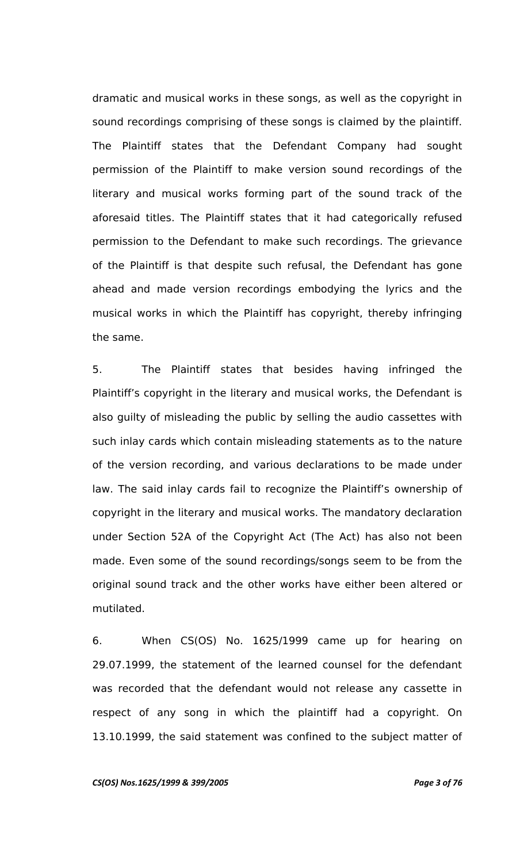dramatic and musical works in these songs, as well as the copyright in sound recordings comprising of these songs is claimed by the plaintiff. The Plaintiff states that the Defendant Company had sought permission of the Plaintiff to make version sound recordings of the literary and musical works forming part of the sound track of the aforesaid titles. The Plaintiff states that it had categorically refused permission to the Defendant to make such recordings. The grievance of the Plaintiff is that despite such refusal, the Defendant has gone ahead and made version recordings embodying the lyrics and the musical works in which the Plaintiff has copyright, thereby infringing the same.

5. The Plaintiff states that besides having infringed the Plaintiff"s copyright in the literary and musical works, the Defendant is also guilty of misleading the public by selling the audio cassettes with such inlay cards which contain misleading statements as to the nature of the version recording, and various declarations to be made under law. The said inlay cards fail to recognize the Plaintiff's ownership of copyright in the literary and musical works. The mandatory declaration under Section 52A of the Copyright Act (The Act) has also not been made. Even some of the sound recordings/songs seem to be from the original sound track and the other works have either been altered or mutilated.

6. When CS(OS) No. 1625/1999 came up for hearing on 29.07.1999, the statement of the learned counsel for the defendant was recorded that the defendant would not release any cassette in respect of any song in which the plaintiff had a copyright. On 13.10.1999, the said statement was confined to the subject matter of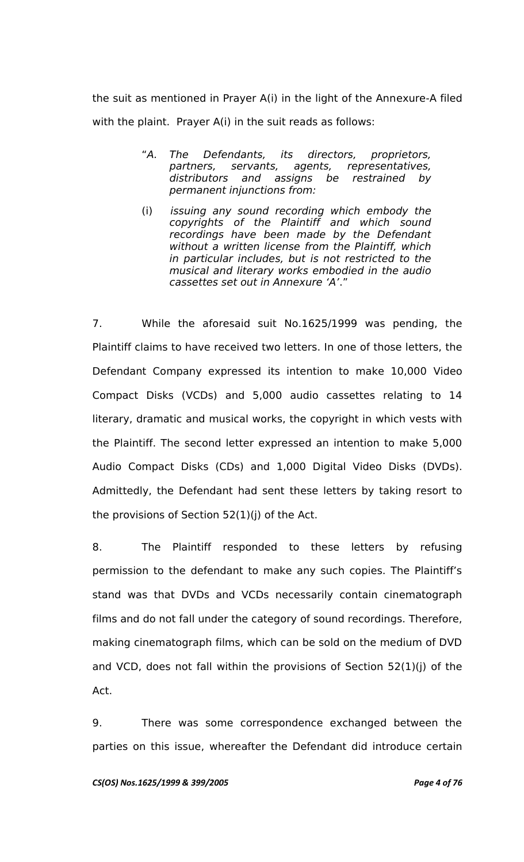the suit as mentioned in Prayer A(i) in the light of the Annexure-A filed with the plaint. Prayer A(i) in the suit reads as follows:

- "*A. The Defendants, its directors, proprietors, partners, servants, agents, representatives, distributors and assigns be restrained by permanent injunctions from:*
- (i) *issuing any sound recording which embody the copyrights of the Plaintiff and which sound recordings have been made by the Defendant without a written license from the Plaintiff, which in particular includes, but is not restricted to the musical and literary works embodied in the audio cassettes set out in Annexure "A"*."

7. While the aforesaid suit No.1625/1999 was pending, the Plaintiff claims to have received two letters. In one of those letters, the Defendant Company expressed its intention to make 10,000 Video Compact Disks (VCDs) and 5,000 audio cassettes relating to 14 literary, dramatic and musical works, the copyright in which vests with the Plaintiff. The second letter expressed an intention to make 5,000 Audio Compact Disks (CDs) and 1,000 Digital Video Disks (DVDs). Admittedly, the Defendant had sent these letters by taking resort to the provisions of Section 52(1)(j) of the Act.

8. The Plaintiff responded to these letters by refusing permission to the defendant to make any such copies. The Plaintiff"s stand was that DVDs and VCDs necessarily contain cinematograph films and do not fall under the category of sound recordings. Therefore, making cinematograph films, which can be sold on the medium of DVD and VCD, does not fall within the provisions of Section 52(1)(j) of the Act.

9. There was some correspondence exchanged between the parties on this issue, whereafter the Defendant did introduce certain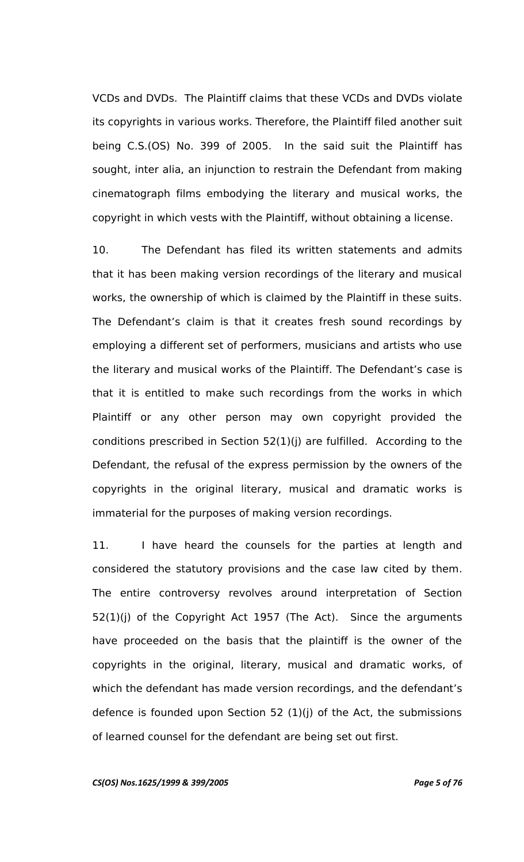VCDs and DVDs. The Plaintiff claims that these VCDs and DVDs violate its copyrights in various works. Therefore, the Plaintiff filed another suit being C.S.(OS) No. 399 of 2005. In the said suit the Plaintiff has sought, inter alia, an injunction to restrain the Defendant from making cinematograph films embodying the literary and musical works, the copyright in which vests with the Plaintiff, without obtaining a license.

10. The Defendant has filed its written statements and admits that it has been making version recordings of the literary and musical works, the ownership of which is claimed by the Plaintiff in these suits. The Defendant"s claim is that it creates fresh sound recordings by employing a different set of performers, musicians and artists who use the literary and musical works of the Plaintiff. The Defendant"s case is that it is entitled to make such recordings from the works in which Plaintiff or any other person may own copyright provided the conditions prescribed in Section 52(1)(j) are fulfilled. According to the Defendant, the refusal of the express permission by the owners of the copyrights in the original literary, musical and dramatic works is immaterial for the purposes of making version recordings.

11. I have heard the counsels for the parties at length and considered the statutory provisions and the case law cited by them. The entire controversy revolves around interpretation of Section 52(1)(j) of the Copyright Act 1957 (The Act). Since the arguments have proceeded on the basis that the plaintiff is the owner of the copyrights in the original, literary, musical and dramatic works, of which the defendant has made version recordings, and the defendant's defence is founded upon Section 52 (1)(j) of the Act, the submissions of learned counsel for the defendant are being set out first.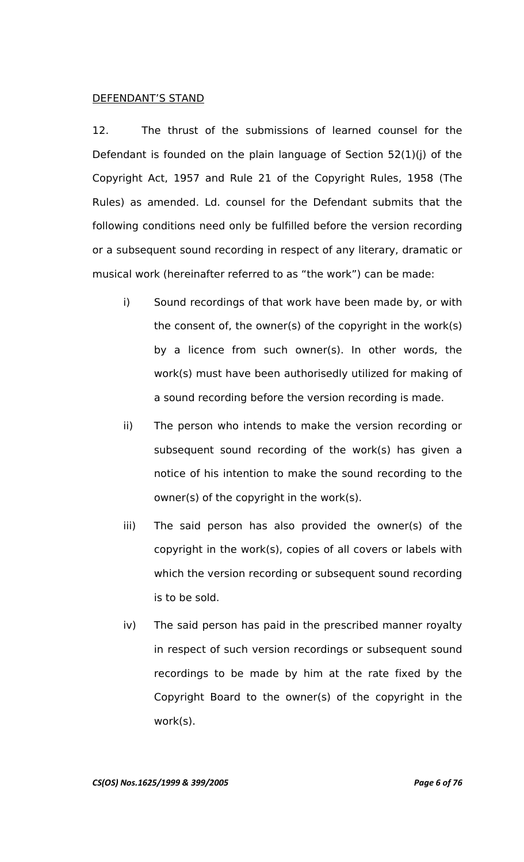## DEFENDANT"S STAND

12. The thrust of the submissions of learned counsel for the Defendant is founded on the plain language of Section 52(1)(j) of the Copyright Act, 1957 and Rule 21 of the Copyright Rules, 1958 (The Rules) as amended. Ld. counsel for the Defendant submits that the following conditions need only be fulfilled before the version recording or a subsequent sound recording in respect of any literary, dramatic or musical work (hereinafter referred to as "the work") can be made:

- i) Sound recordings of that work have been made by, or with the consent of, the owner(s) of the copyright in the work(s) by a licence from such owner(s). In other words, the work(s) must have been authorisedly utilized for making of a sound recording before the version recording is made.
- ii) The person who intends to make the version recording or subsequent sound recording of the work(s) has given a notice of his intention to make the sound recording to the owner(s) of the copyright in the work(s).
- iii) The said person has also provided the owner(s) of the copyright in the work(s), copies of all covers or labels with which the version recording or subsequent sound recording is to be sold.
- iv) The said person has paid in the prescribed manner royalty in respect of such version recordings or subsequent sound recordings to be made by him at the rate fixed by the Copyright Board to the owner(s) of the copyright in the work(s).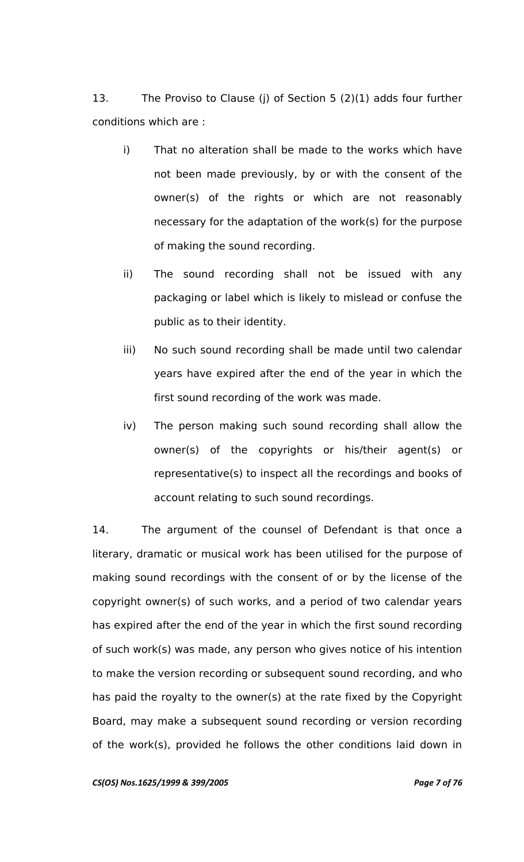13. The Proviso to Clause (j) of Section 5 (2)(1) adds four further conditions which are :

- i) That no alteration shall be made to the works which have not been made previously, by or with the consent of the owner(s) of the rights or which are not reasonably necessary for the adaptation of the work(s) for the purpose of making the sound recording.
- ii) The sound recording shall not be issued with any packaging or label which is likely to mislead or confuse the public as to their identity.
- iii) No such sound recording shall be made until two calendar years have expired after the end of the year in which the first sound recording of the work was made.
- iv) The person making such sound recording shall allow the owner(s) of the copyrights or his/their agent(s) or representative(s) to inspect all the recordings and books of account relating to such sound recordings.

14. The argument of the counsel of Defendant is that once a literary, dramatic or musical work has been utilised for the purpose of making sound recordings with the consent of or by the license of the copyright owner(s) of such works, and a period of two calendar years has expired after the end of the year in which the first sound recording of such work(s) was made, any person who gives notice of his intention to make the version recording or subsequent sound recording, and who has paid the royalty to the owner(s) at the rate fixed by the Copyright Board, may make a subsequent sound recording or version recording of the work(s), provided he follows the other conditions laid down in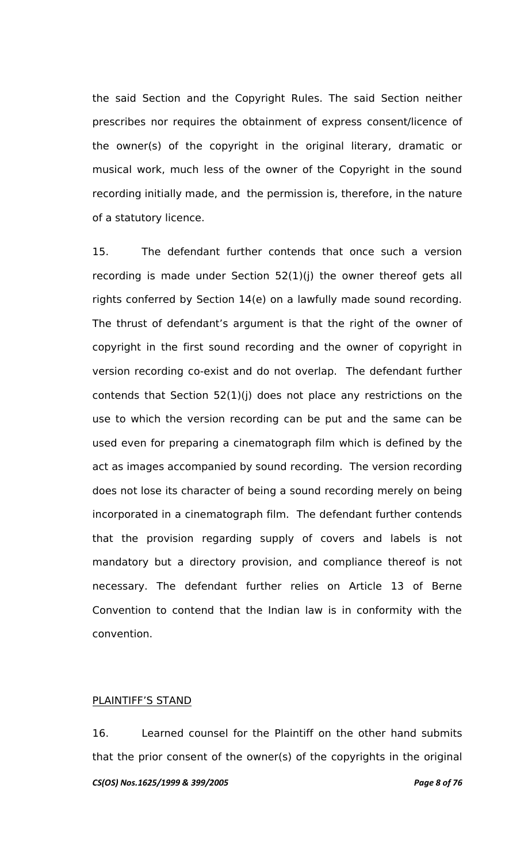the said Section and the Copyright Rules. The said Section neither prescribes nor requires the obtainment of express consent/licence of the owner(s) of the copyright in the original literary, dramatic or musical work, much less of the owner of the Copyright in the sound recording initially made, and the permission is, therefore, in the nature of a statutory licence.

15. The defendant further contends that once such a version recording is made under Section 52(1)(j) the owner thereof gets all rights conferred by Section 14(e) on a lawfully made sound recording. The thrust of defendant"s argument is that the right of the owner of copyright in the first sound recording and the owner of copyright in version recording co-exist and do not overlap. The defendant further contends that Section 52(1)(j) does not place any restrictions on the use to which the version recording can be put and the same can be used even for preparing a cinematograph film which is defined by the act as images accompanied by sound recording. The version recording does not lose its character of being a sound recording merely on being incorporated in a cinematograph film. The defendant further contends that the provision regarding supply of covers and labels is not mandatory but a directory provision, and compliance thereof is not necessary. The defendant further relies on Article 13 of Berne Convention to contend that the Indian law is in conformity with the convention.

## PLAINTIFF"S STAND

*CS(OS) Nos.1625/1999 & 399/2005 Page 8 of 76* 16. Learned counsel for the Plaintiff on the other hand submits that the prior consent of the owner(s) of the copyrights in the original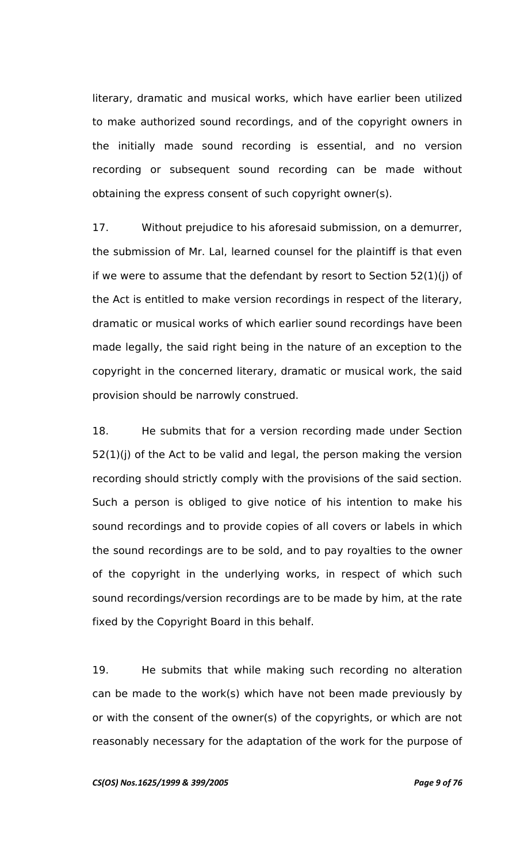literary, dramatic and musical works, which have earlier been utilized to make authorized sound recordings, and of the copyright owners in the initially made sound recording is essential, and no version recording or subsequent sound recording can be made without obtaining the express consent of such copyright owner(s).

17. Without prejudice to his aforesaid submission, on a demurrer, the submission of Mr. Lal, learned counsel for the plaintiff is that even if we were to assume that the defendant by resort to Section 52(1)(j) of the Act is entitled to make version recordings in respect of the literary, dramatic or musical works of which earlier sound recordings have been made legally, the said right being in the nature of an exception to the copyright in the concerned literary, dramatic or musical work, the said provision should be narrowly construed.

18. He submits that for a version recording made under Section 52(1)(j) of the Act to be valid and legal, the person making the version recording should strictly comply with the provisions of the said section. Such a person is obliged to give notice of his intention to make his sound recordings and to provide copies of all covers or labels in which the sound recordings are to be sold, and to pay royalties to the owner of the copyright in the underlying works, in respect of which such sound recordings/version recordings are to be made by him, at the rate fixed by the Copyright Board in this behalf.

19. He submits that while making such recording no alteration can be made to the work(s) which have not been made previously by or with the consent of the owner(s) of the copyrights, or which are not reasonably necessary for the adaptation of the work for the purpose of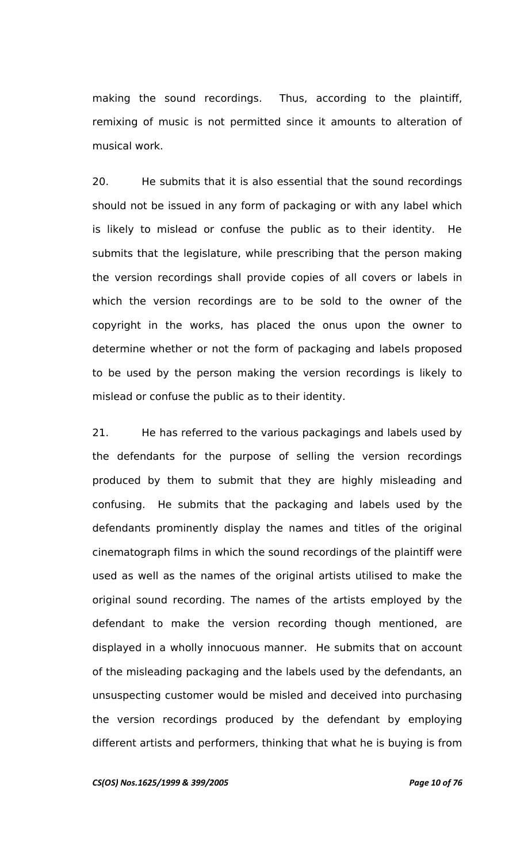making the sound recordings. Thus, according to the plaintiff, remixing of music is not permitted since it amounts to alteration of musical work.

20. He submits that it is also essential that the sound recordings should not be issued in any form of packaging or with any label which is likely to mislead or confuse the public as to their identity. He submits that the legislature, while prescribing that the person making the version recordings shall provide copies of all covers or labels in which the version recordings are to be sold to the owner of the copyright in the works, has placed the onus upon the owner to determine whether or not the form of packaging and labels proposed to be used by the person making the version recordings is likely to mislead or confuse the public as to their identity.

21. He has referred to the various packagings and labels used by the defendants for the purpose of selling the version recordings produced by them to submit that they are highly misleading and confusing. He submits that the packaging and labels used by the defendants prominently display the names and titles of the original cinematograph films in which the sound recordings of the plaintiff were used as well as the names of the original artists utilised to make the original sound recording. The names of the artists employed by the defendant to make the version recording though mentioned, are displayed in a wholly innocuous manner. He submits that on account of the misleading packaging and the labels used by the defendants, an unsuspecting customer would be misled and deceived into purchasing the version recordings produced by the defendant by employing different artists and performers, thinking that what he is buying is from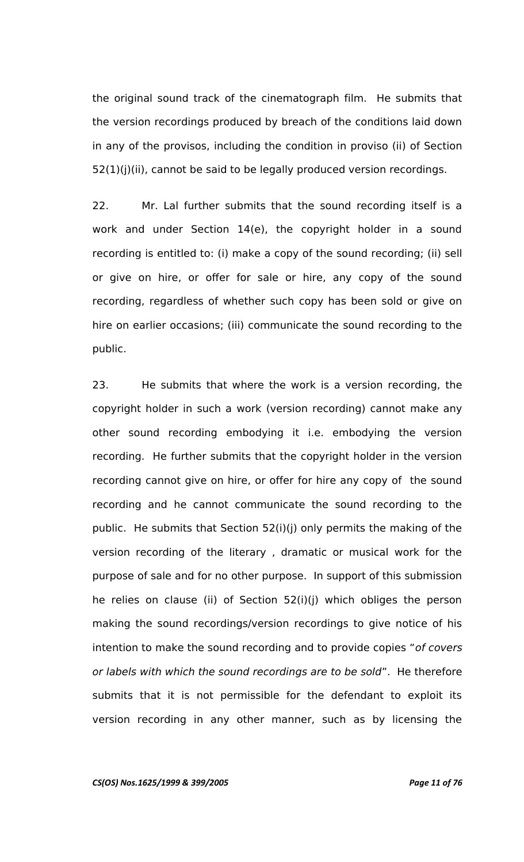the original sound track of the cinematograph film. He submits that the version recordings produced by breach of the conditions laid down in any of the provisos, including the condition in proviso (ii) of Section 52(1)(j)(ii), cannot be said to be legally produced version recordings.

22. Mr. Lal further submits that the sound recording itself is a work and under Section 14(e), the copyright holder in a sound recording is entitled to: (i) make a copy of the sound recording; (ii) sell or give on hire, or offer for sale or hire, any copy of the sound recording, regardless of whether such copy has been sold or give on hire on earlier occasions; (iii) communicate the sound recording to the public.

23. He submits that where the work is a version recording, the copyright holder in such a work (version recording) cannot make any other sound recording embodying it i.e. embodying the version recording. He further submits that the copyright holder in the version recording cannot give on hire, or offer for hire any copy of the sound recording and he cannot communicate the sound recording to the public. He submits that Section 52(i)(j) only permits the making of the version recording of the literary , dramatic or musical work for the purpose of sale and for no other purpose. In support of this submission he relies on clause (ii) of Section 52(i)(j) which obliges the person making the sound recordings/version recordings to give notice of his intention to make the sound recording and to provide copies "*of covers or labels with which the sound recordings are to be sold*". He therefore submits that it is not permissible for the defendant to exploit its version recording in any other manner, such as by licensing the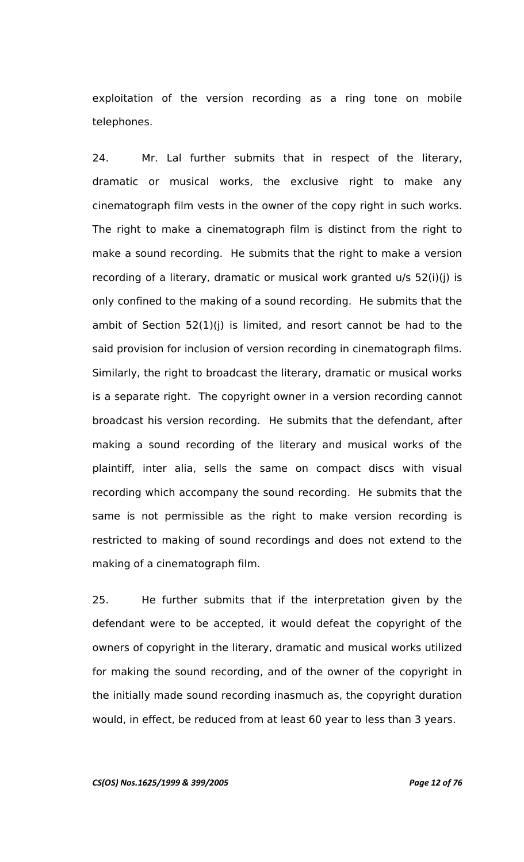exploitation of the version recording as a ring tone on mobile telephones.

24. Mr. Lal further submits that in respect of the literary, dramatic or musical works, the exclusive right to make any cinematograph film vests in the owner of the copy right in such works. The right to make a cinematograph film is distinct from the right to make a sound recording. He submits that the right to make a version recording of a literary, dramatic or musical work granted u/s 52(i)(j) is only confined to the making of a sound recording. He submits that the ambit of Section 52(1)(j) is limited, and resort cannot be had to the said provision for inclusion of version recording in cinematograph films. Similarly, the right to broadcast the literary, dramatic or musical works is a separate right. The copyright owner in a version recording cannot broadcast his version recording. He submits that the defendant, after making a sound recording of the literary and musical works of the plaintiff, inter alia, sells the same on compact discs with visual recording which accompany the sound recording. He submits that the same is not permissible as the right to make version recording is restricted to making of sound recordings and does not extend to the making of a cinematograph film.

25. He further submits that if the interpretation given by the defendant were to be accepted, it would defeat the copyright of the owners of copyright in the literary, dramatic and musical works utilized for making the sound recording, and of the owner of the copyright in the initially made sound recording inasmuch as, the copyright duration would, in effect, be reduced from at least 60 year to less than 3 years.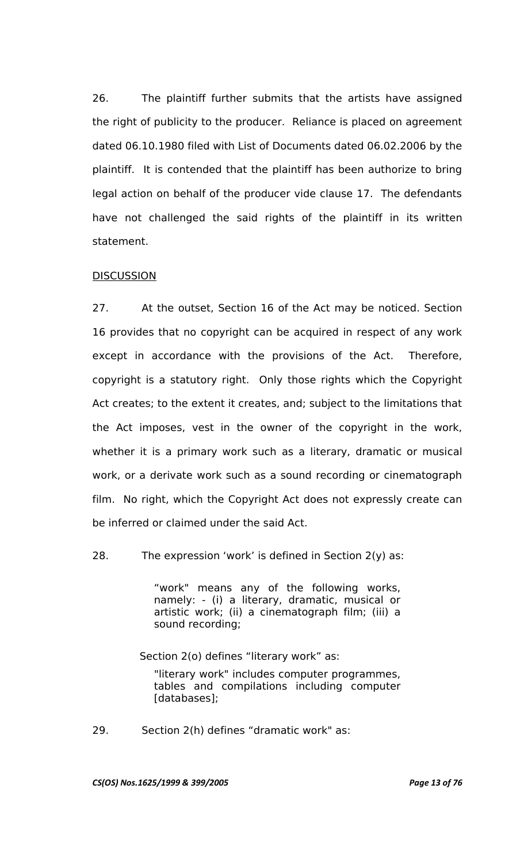26. The plaintiff further submits that the artists have assigned the right of publicity to the producer. Reliance is placed on agreement dated 06.10.1980 filed with List of Documents dated 06.02.2006 by the plaintiff. It is contended that the plaintiff has been authorize to bring legal action on behalf of the producer vide clause 17. The defendants have not challenged the said rights of the plaintiff in its written statement.

## **DISCUSSION**

27. At the outset, Section 16 of the Act may be noticed. Section 16 provides that no copyright can be acquired in respect of any work except in accordance with the provisions of the Act. Therefore, copyright is a statutory right. Only those rights which the Copyright Act creates; to the extent it creates, and; subject to the limitations that the Act imposes, vest in the owner of the copyright in the work, whether it is a primary work such as a literary, dramatic or musical work, or a derivate work such as a sound recording or cinematograph film. No right, which the Copyright Act does not expressly create can be inferred or claimed under the said Act.

28. The expression 'work' is defined in Section  $2(y)$  as:

"work" means any of the following works, namely: - (i) a literary, dramatic, musical or artistic work; (ii) a cinematograph film; (iii) a sound recording;

Section 2(o) defines "literary work" as:

"literary work" includes computer programmes, tables and compilations including computer [databases];

29. Section 2(h) defines "dramatic work" as:

*CS(OS) Nos.1625/1999 & 399/2005 Page 13 of 76*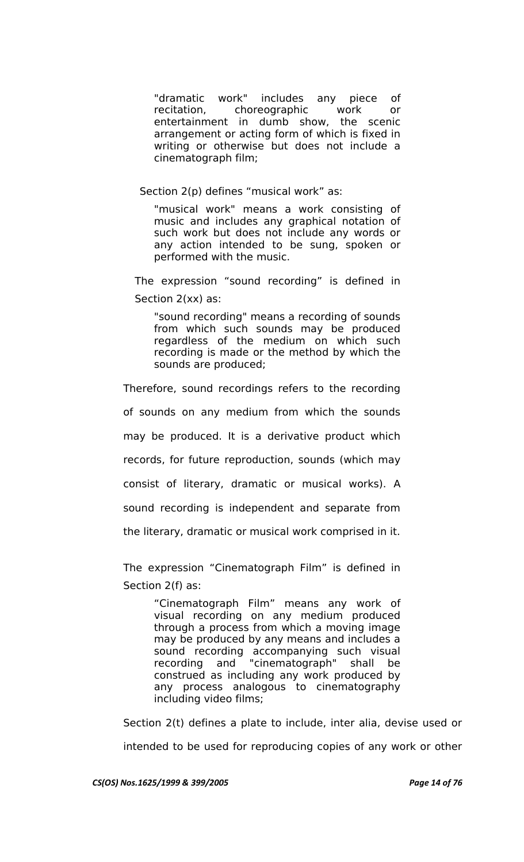"dramatic work" includes any piece of choreographic work or entertainment in dumb show, the scenic arrangement or acting form of which is fixed in writing or otherwise but does not include a cinematograph film;

Section 2(p) defines "musical work" as:

"musical work" means a work consisting of music and includes any graphical notation of such work but does not include any words or any action intended to be sung, spoken or performed with the music.

The expression "sound recording" is defined in Section 2(xx) as:

"sound recording" means a recording of sounds from which such sounds may be produced regardless of the medium on which such recording is made or the method by which the sounds are produced;

Therefore, sound recordings refers to the recording of sounds on any medium from which the sounds may be produced. It is a derivative product which records, for future reproduction, sounds (which may consist of literary, dramatic or musical works). A sound recording is independent and separate from the literary, dramatic or musical work comprised in it.

The expression "Cinematograph Film" is defined in Section 2(f) as:

> "Cinematograph Film" means any work of visual recording on any medium produced through a process from which a moving image may be produced by any means and includes a sound recording accompanying such visual recording and "cinematograph" shall be construed as including any work produced by any process analogous to cinematography including video films;

Section 2(t) defines a plate to include, inter alia, devise used or intended to be used for reproducing copies of any work or other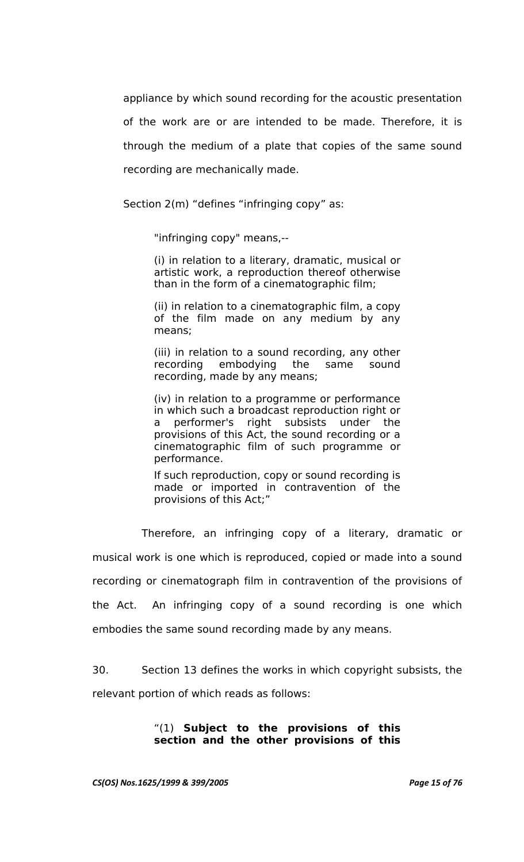appliance by which sound recording for the acoustic presentation of the work are or are intended to be made. Therefore, it is through the medium of a plate that copies of the same sound recording are mechanically made.

Section 2(m) "defines "infringing copy" as:

"infringing copy" means,--

(i) in relation to a literary, dramatic, musical or artistic work, a reproduction thereof otherwise than in the form of a cinematographic film;

(ii) in relation to a cinematographic film, a copy of the film made on any medium by any means;

(iii) in relation to a sound recording, any other recording embodying the same sound recording, made by any means;

(iv) in relation to a programme or performance in which such a broadcast reproduction right or a performer's right subsists under the provisions of this Act, the sound recording or a cinematographic film of such programme or performance.

If such reproduction, copy or sound recording is made or imported in contravention of the provisions of this Act;"

Therefore, an infringing copy of a literary, dramatic or musical work is one which is reproduced, copied or made into a sound recording or cinematograph film in contravention of the provisions of the Act. An infringing copy of a sound recording is one which embodies the same sound recording made by any means.

30. Section 13 defines the works in which copyright subsists, the relevant portion of which reads as follows:

## "(1) **Subject to the provisions of this section and the other provisions of this**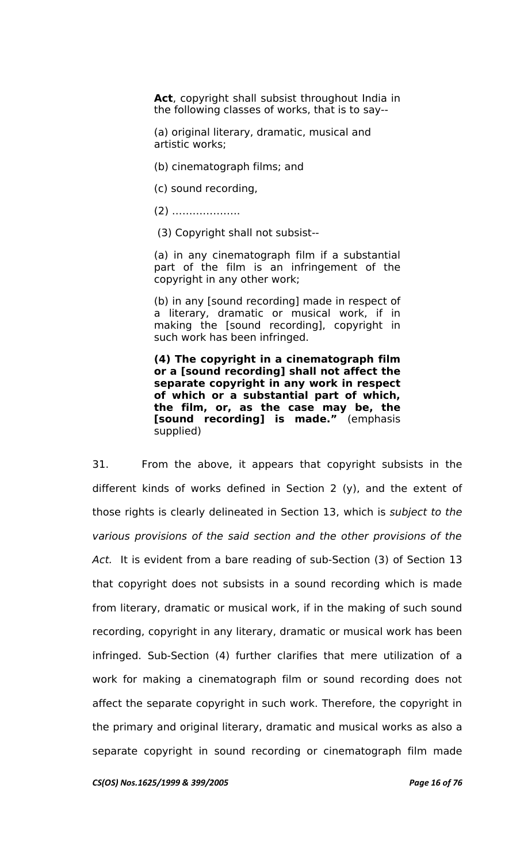**Act**, copyright shall subsist throughout India in the following classes of works, that is to say--

(a) original literary, dramatic, musical and artistic works;

- (b) cinematograph films; and
- (c) sound recording,
- (2) ………………..
- (3) Copyright shall not subsist--

(a) in any cinematograph film if a substantial part of the film is an infringement of the copyright in any other work;

(b) in any [sound recording] made in respect of a literary, dramatic or musical work, if in making the [sound recording], copyright in such work has been infringed.

**(4) The copyright in a cinematograph film or a [sound recording] shall not affect the separate copyright in any work in respect of which or a substantial part of which, the film, or, as the case may be, the [sound recording] is made."** (emphasis supplied)

31. From the above, it appears that copyright subsists in the different kinds of works defined in Section 2 (y), and the extent of those rights is clearly delineated in Section 13, which is *subject to the various provisions of the said section and the other provisions of the Act.* It is evident from a bare reading of sub-Section (3) of Section 13 that copyright does not subsists in a sound recording which is made from literary, dramatic or musical work, if in the making of such sound recording, copyright in any literary, dramatic or musical work has been infringed. Sub-Section (4) further clarifies that mere utilization of a work for making a cinematograph film or sound recording does not affect the separate copyright in such work. Therefore, the copyright in the primary and original literary, dramatic and musical works as also a separate copyright in sound recording or cinematograph film made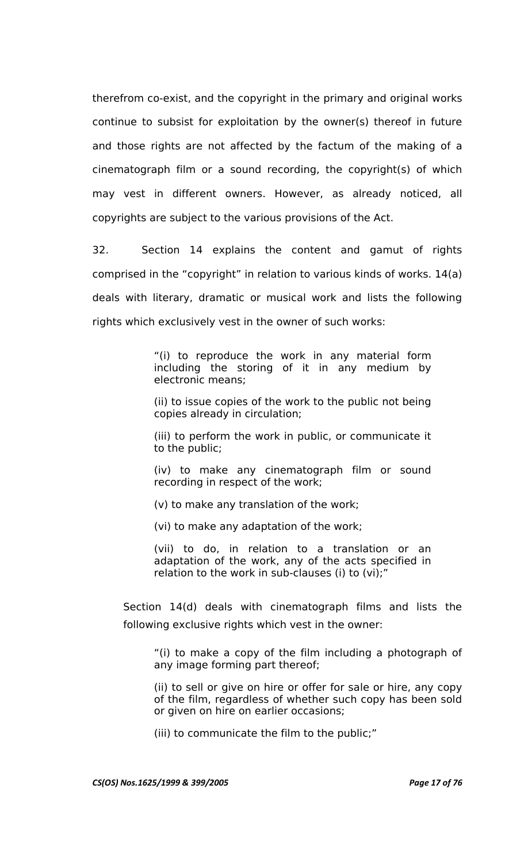therefrom co-exist, and the copyright in the primary and original works continue to subsist for exploitation by the owner(s) thereof in future and those rights are not affected by the factum of the making of a cinematograph film or a sound recording, the copyright(s) of which may vest in different owners. However, as already noticed, all copyrights are subject to the various provisions of the Act.

32. Section 14 explains the content and gamut of rights comprised in the "copyright" in relation to various kinds of works. 14(a) deals with literary, dramatic or musical work and lists the following rights which exclusively vest in the owner of such works:

> "(i) to reproduce the work in any material form including the storing of it in any medium by electronic means;

> (ii) to issue copies of the work to the public not being copies already in circulation;

> (iii) to perform the work in public, or communicate it to the public;

> (iv) to make any cinematograph film or sound recording in respect of the work;

(v) to make any translation of the work;

(vi) to make any adaptation of the work;

(vii) to do, in relation to a translation or an adaptation of the work, any of the acts specified in relation to the work in sub-clauses (i) to (vi);"

Section 14(d) deals with cinematograph films and lists the following exclusive rights which vest in the owner:

"(i) to make a copy of the film including a photograph of any image forming part thereof;

(ii) to sell or give on hire or offer for sale or hire, any copy of the film, regardless of whether such copy has been sold or given on hire on earlier occasions;

(iii) to communicate the film to the public;"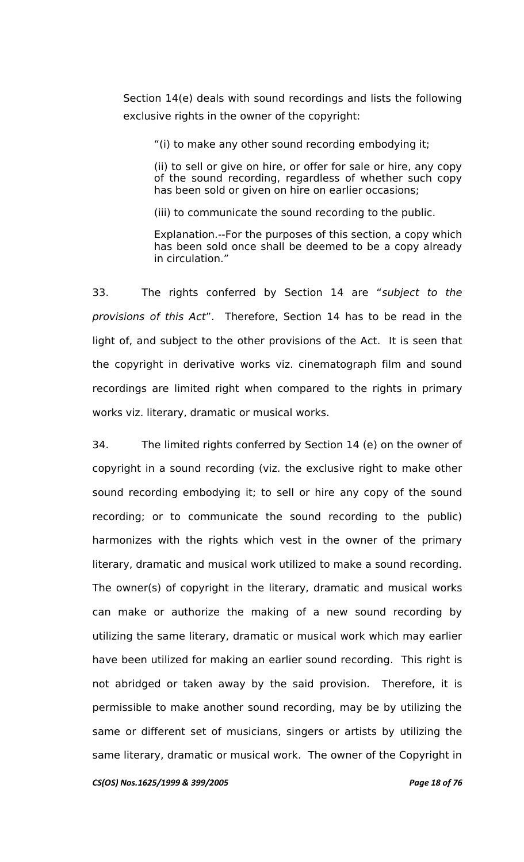Section 14(e) deals with sound recordings and lists the following exclusive rights in the owner of the copyright:

"(i) to make any other sound recording embodying it;

(ii) to sell or give on hire, or offer for sale or hire, any copy of the sound recording, regardless of whether such copy has been sold or given on hire on earlier occasions;

(iii) to communicate the sound recording to the public.

Explanation.--For the purposes of this section, a copy which has been sold once shall be deemed to be a copy already in circulation."

33. The rights conferred by Section 14 are "*subject to the provisions of this Act*". Therefore, Section 14 has to be read in the light of, and subject to the other provisions of the Act. It is seen that the copyright in derivative works viz. cinematograph film and sound recordings are limited right when compared to the rights in primary works viz. literary, dramatic or musical works.

34. The limited rights conferred by Section 14 (e) on the owner of copyright in a sound recording (viz. the exclusive right to make other sound recording embodying it; to sell or hire any copy of the sound recording; or to communicate the sound recording to the public) harmonizes with the rights which vest in the owner of the primary literary, dramatic and musical work utilized to make a sound recording. The owner(s) of copyright in the literary, dramatic and musical works can make or authorize the making of a new sound recording by utilizing the same literary, dramatic or musical work which may earlier have been utilized for making an earlier sound recording. This right is not abridged or taken away by the said provision. Therefore, it is permissible to make another sound recording, may be by utilizing the same or different set of musicians, singers or artists by utilizing the same literary, dramatic or musical work. The owner of the Copyright in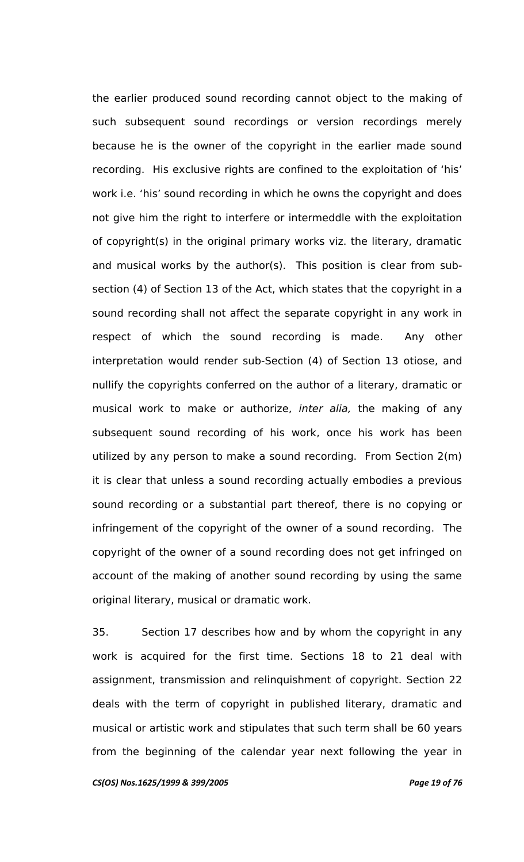the earlier produced sound recording cannot object to the making of such subsequent sound recordings or version recordings merely because he is the owner of the copyright in the earlier made sound recording. His exclusive rights are confined to the exploitation of "his" work i.e. 'his' sound recording in which he owns the copyright and does not give him the right to interfere or intermeddle with the exploitation of copyright(s) in the original primary works viz. the literary, dramatic and musical works by the author(s). This position is clear from subsection (4) of Section 13 of the Act, which states that the copyright in a sound recording shall not affect the separate copyright in any work in respect of which the sound recording is made. Any other interpretation would render sub-Section (4) of Section 13 otiose, and nullify the copyrights conferred on the author of a literary, dramatic or musical work to make or authorize, *inter alia,* the making of any subsequent sound recording of his work, once his work has been utilized by any person to make a sound recording. From Section 2(m) it is clear that unless a sound recording actually embodies a previous sound recording or a substantial part thereof, there is no copying or infringement of the copyright of the owner of a sound recording. The copyright of the owner of a sound recording does not get infringed on account of the making of another sound recording by using the same original literary, musical or dramatic work.

35. Section 17 describes how and by whom the copyright in any work is acquired for the first time. Sections 18 to 21 deal with assignment, transmission and relinquishment of copyright. Section 22 deals with the term of copyright in published literary, dramatic and musical or artistic work and stipulates that such term shall be 60 years from the beginning of the calendar year next following the year in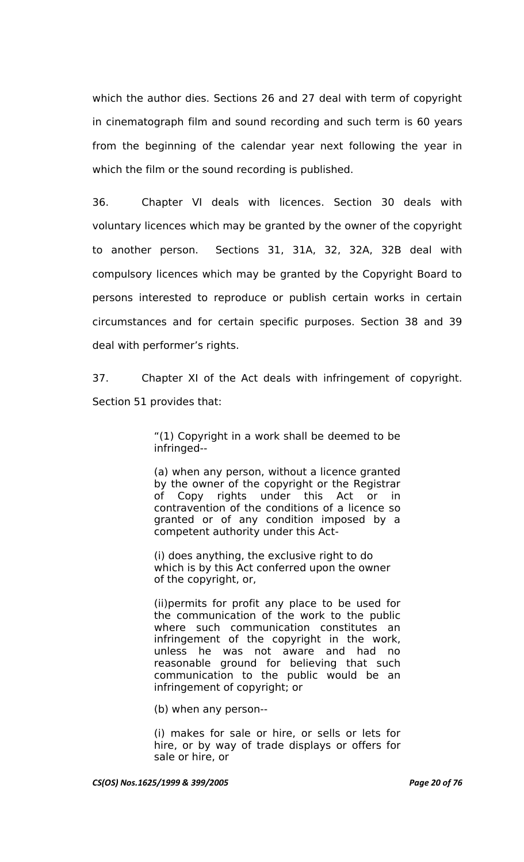which the author dies. Sections 26 and 27 deal with term of copyright in cinematograph film and sound recording and such term is 60 years from the beginning of the calendar year next following the year in which the film or the sound recording is published.

36. Chapter VI deals with licences. Section 30 deals with voluntary licences which may be granted by the owner of the copyright to another person. Sections 31, 31A, 32, 32A, 32B deal with compulsory licences which may be granted by the Copyright Board to persons interested to reproduce or publish certain works in certain circumstances and for certain specific purposes. Section 38 and 39 deal with performer"s rights.

37. Chapter XI of the Act deals with infringement of copyright. Section 51 provides that:

> "(1) Copyright in a work shall be deemed to be infringed--

> (a) when any person, without a licence granted by the owner of the copyright or the Registrar of Copy rights under this Act or in contravention of the conditions of a licence so granted or of any condition imposed by a competent authority under this Act-

(i) does anything, the exclusive right to do which is by this Act conferred upon the owner of the copyright, or,

(ii)permits for profit any place to be used for the communication of the work to the public where such communication constitutes an infringement of the copyright in the work, unless he was not aware and had no reasonable ground for believing that such communication to the public would be an infringement of copyright; or

(b) when any person--

(i) makes for sale or hire, or sells or lets for hire, or by way of trade displays or offers for sale or hire, or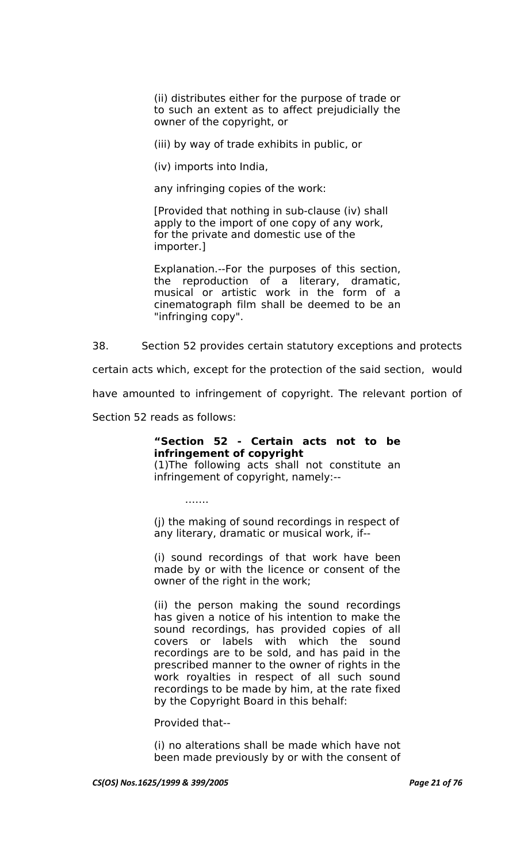(ii) distributes either for the purpose of trade or to such an extent as to affect prejudicially the owner of the copyright, or

(iii) by way of trade exhibits in public, or

(iv) imports into India,

any infringing copies of the work:

[Provided that nothing in sub-clause (iv) shall apply to the import of one copy of any work, for the private and domestic use of the importer.]

Explanation.--For the purposes of this section, the reproduction of a literary, dramatic, musical or artistic work in the form of a cinematograph film shall be deemed to be an "infringing copy".

38. Section 52 provides certain statutory exceptions and protects

certain acts which, except for the protection of the said section, would

have amounted to infringement of copyright. The relevant portion of

Section 52 reads as follows:

…….

## **"Section 52 - Certain acts not to be infringement of copyright**

(1)The following acts shall not constitute an infringement of copyright, namely:--

(j) the making of sound recordings in respect of any literary, dramatic or musical work, if--

(i) sound recordings of that work have been made by or with the licence or consent of the owner of the right in the work;

(ii) the person making the sound recordings has given a notice of his intention to make the sound recordings, has provided copies of all covers or labels with which the sound recordings are to be sold, and has paid in the prescribed manner to the owner of rights in the work royalties in respect of all such sound recordings to be made by him, at the rate fixed by the Copyright Board in this behalf:

Provided that--

(i) no alterations shall be made which have not been made previously by or with the consent of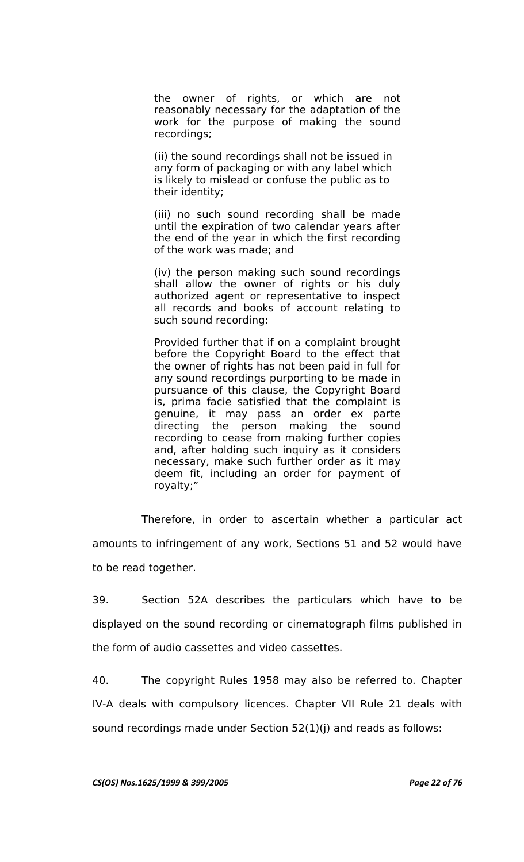the owner of rights, or which are not reasonably necessary for the adaptation of the work for the purpose of making the sound recordings;

(ii) the sound recordings shall not be issued in any form of packaging or with any label which is likely to mislead or confuse the public as to their identity;

(iii) no such sound recording shall be made until the expiration of two calendar years after the end of the year in which the first recording of the work was made; and

(iv) the person making such sound recordings shall allow the owner of rights or his duly authorized agent or representative to inspect all records and books of account relating to such sound recording:

Provided further that if on a complaint brought before the Copyright Board to the effect that the owner of rights has not been paid in full for any sound recordings purporting to be made in pursuance of this clause, the Copyright Board is, prima facie satisfied that the complaint is genuine, it may pass an order ex parte directing the person making the sound recording to cease from making further copies and, after holding such inquiry as it considers necessary, make such further order as it may deem fit, including an order for payment of royalty;"

Therefore, in order to ascertain whether a particular act amounts to infringement of any work, Sections 51 and 52 would have to be read together.

39. Section 52A describes the particulars which have to be displayed on the sound recording or cinematograph films published in the form of audio cassettes and video cassettes.

40. The copyright Rules 1958 may also be referred to. Chapter IV-A deals with compulsory licences. Chapter VII Rule 21 deals with sound recordings made under Section 52(1)(j) and reads as follows: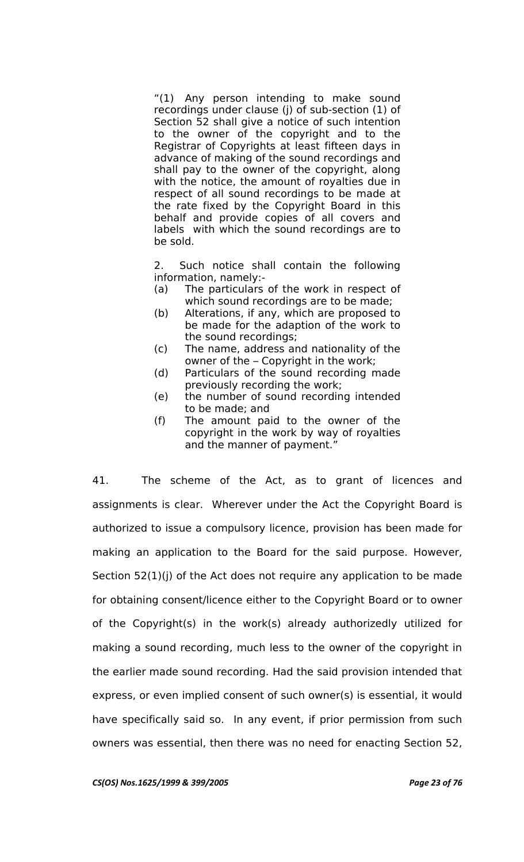"(1) Any person intending to make sound recordings under clause (j) of sub-section (1) of Section 52 shall give a notice of such intention to the owner of the copyright and to the Registrar of Copyrights at least fifteen days in advance of making of the sound recordings and shall pay to the owner of the copyright, along with the notice, the amount of royalties due in respect of all sound recordings to be made at the rate fixed by the Copyright Board in this behalf and provide copies of all covers and labels with which the sound recordings are to be sold.

2. Such notice shall contain the following information, namely:-

- (a) The particulars of the work in respect of which sound recordings are to be made;
- (b) Alterations, if any, which are proposed to be made for the adaption of the work to the sound recordings;
- (c) The name, address and nationality of the owner of the – Copyright in the work;
- (d) Particulars of the sound recording made previously recording the work;
- (e) the number of sound recording intended to be made; and
- (f) The amount paid to the owner of the copyright in the work by way of royalties and the manner of payment."

41. The scheme of the Act, as to grant of licences and assignments is clear. Wherever under the Act the Copyright Board is authorized to issue a compulsory licence, provision has been made for making an application to the Board for the said purpose. However, Section 52(1)(j) of the Act does not require any application to be made for obtaining consent/licence either to the Copyright Board or to owner of the Copyright(s) in the work(s) already authorizedly utilized for making a sound recording, much less to the owner of the copyright in the earlier made sound recording. Had the said provision intended that express, or even implied consent of such owner(s) is essential, it would have specifically said so. In any event, if prior permission from such owners was essential, then there was no need for enacting Section 52,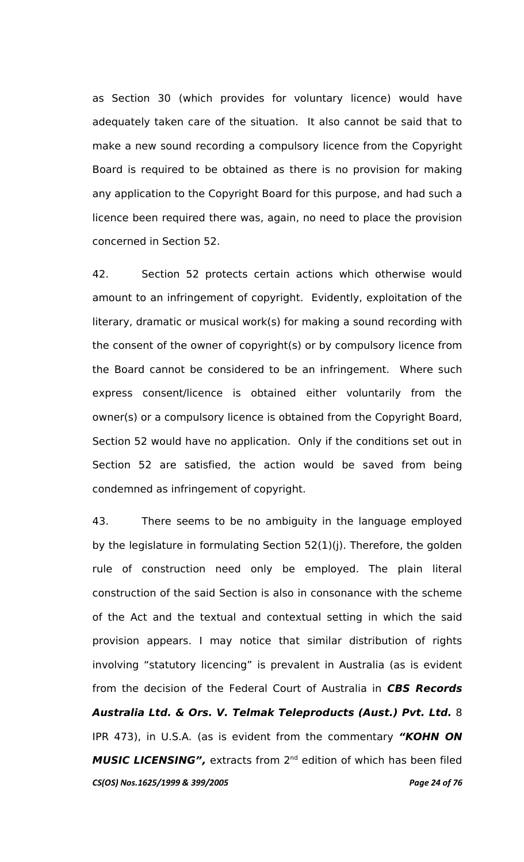as Section 30 (which provides for voluntary licence) would have adequately taken care of the situation. It also cannot be said that to make a new sound recording a compulsory licence from the Copyright Board is required to be obtained as there is no provision for making any application to the Copyright Board for this purpose, and had such a licence been required there was, again, no need to place the provision concerned in Section 52.

42. Section 52 protects certain actions which otherwise would amount to an infringement of copyright. Evidently, exploitation of the literary, dramatic or musical work(s) for making a sound recording with the consent of the owner of copyright(s) or by compulsory licence from the Board cannot be considered to be an infringement. Where such express consent/licence is obtained either voluntarily from the owner(s) or a compulsory licence is obtained from the Copyright Board, Section 52 would have no application. Only if the conditions set out in Section 52 are satisfied, the action would be saved from being condemned as infringement of copyright.

*CS(OS) Nos.1625/1999 & 399/2005 Page 24 of 76* 43. There seems to be no ambiguity in the language employed by the legislature in formulating Section 52(1)(j). Therefore, the golden rule of construction need only be employed. The plain literal construction of the said Section is also in consonance with the scheme of the Act and the textual and contextual setting in which the said provision appears. I may notice that similar distribution of rights involving "statutory licencing" is prevalent in Australia (as is evident from the decision of the Federal Court of Australia in *CBS Records Australia Ltd. & Ors. V. Telmak Teleproducts (Aust.) Pvt. Ltd.* 8 IPR 473), in U.S.A. (as is evident from the commentary *"KOHN ON MUSIC LICENSING"*, extracts from 2<sup>nd</sup> edition of which has been filed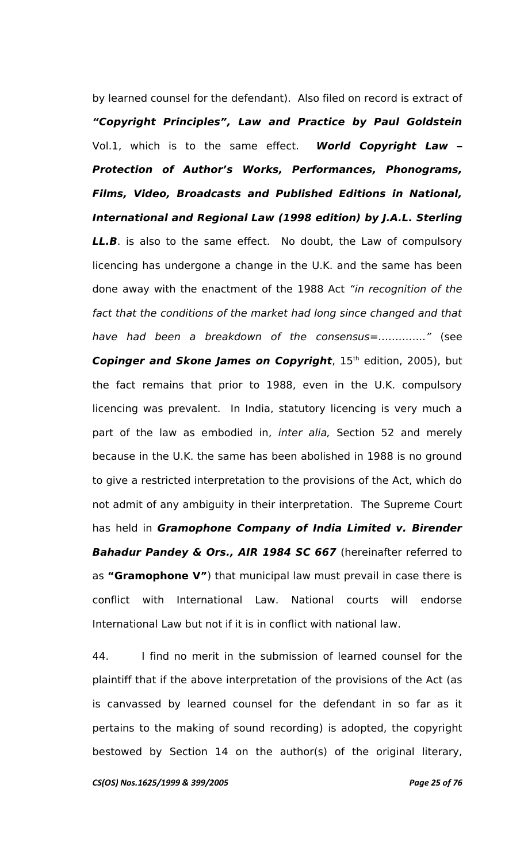by learned counsel for the defendant). Also filed on record is extract of *"Copyright Principles", Law and Practice by Paul Goldstein* Vol.1, which is to the same effect. *World Copyright Law – Protection of Author's Works, Performances, Phonograms, Films, Video, Broadcasts and Published Editions in National, International and Regional Law (1998 edition) by J.A.L. Sterling*  **LL.B**. is also to the same effect. No doubt, the Law of compulsory licencing has undergone a change in the U.K. and the same has been done away with the enactment of the 1988 Act *"in recognition of the*  fact that the conditions of the market had long since changed and that *have had been a breakdown of the consensus=………….."* (see Copinger and Skone James on Copyright, 15<sup>th</sup> edition, 2005), but the fact remains that prior to 1988, even in the U.K. compulsory licencing was prevalent. In India, statutory licencing is very much a part of the law as embodied in, *inter alia,* Section 52 and merely because in the U.K. the same has been abolished in 1988 is no ground to give a restricted interpretation to the provisions of the Act, which do not admit of any ambiguity in their interpretation. The Supreme Court has held in *Gramophone Company of India Limited v. Birender Bahadur Pandey & Ors., AIR 1984 SC 667* (hereinafter referred to as **"Gramophone V"**) that municipal law must prevail in case there is conflict with International Law. National courts will endorse International Law but not if it is in conflict with national law.

44. I find no merit in the submission of learned counsel for the plaintiff that if the above interpretation of the provisions of the Act (as is canvassed by learned counsel for the defendant in so far as it pertains to the making of sound recording) is adopted, the copyright bestowed by Section 14 on the author(s) of the original literary,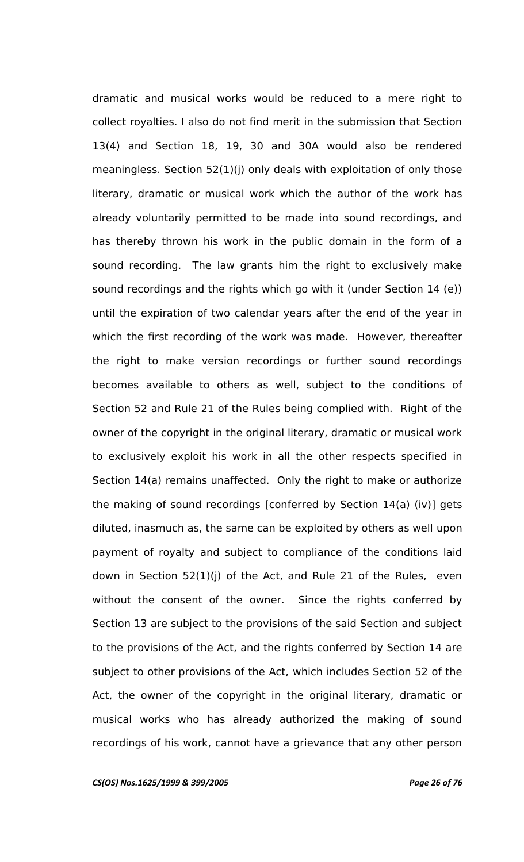dramatic and musical works would be reduced to a mere right to collect royalties. I also do not find merit in the submission that Section 13(4) and Section 18, 19, 30 and 30A would also be rendered meaningless. Section 52(1)(j) only deals with exploitation of only those literary, dramatic or musical work which the author of the work has already voluntarily permitted to be made into sound recordings, and has thereby thrown his work in the public domain in the form of a sound recording. The law grants him the right to exclusively make sound recordings and the rights which go with it (under Section 14 (e)) until the expiration of two calendar years after the end of the year in which the first recording of the work was made. However, thereafter the right to make version recordings or further sound recordings becomes available to others as well, subject to the conditions of Section 52 and Rule 21 of the Rules being complied with. Right of the owner of the copyright in the original literary, dramatic or musical work to exclusively exploit his work in all the other respects specified in Section 14(a) remains unaffected. Only the right to make or authorize the making of sound recordings [conferred by Section 14(a) (iv)] gets diluted, inasmuch as, the same can be exploited by others as well upon payment of royalty and subject to compliance of the conditions laid down in Section 52(1)(j) of the Act, and Rule 21 of the Rules, even without the consent of the owner. Since the rights conferred by Section 13 are subject to the provisions of the said Section and subject to the provisions of the Act, and the rights conferred by Section 14 are subject to other provisions of the Act, which includes Section 52 of the Act, the owner of the copyright in the original literary, dramatic or musical works who has already authorized the making of sound recordings of his work, cannot have a grievance that any other person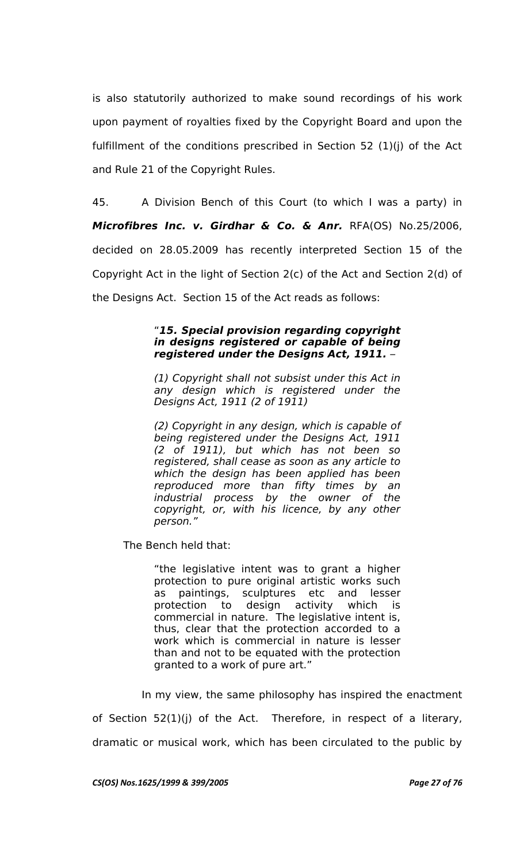is also statutorily authorized to make sound recordings of his work upon payment of royalties fixed by the Copyright Board and upon the fulfillment of the conditions prescribed in Section 52 (1)(j) of the Act and Rule 21 of the Copyright Rules.

45. A Division Bench of this Court (to which I was a party) in *Microfibres Inc. v. Girdhar & Co. & Anr.* RFA(OS) No.25/2006, decided on 28.05.2009 has recently interpreted Section 15 of the Copyright Act in the light of Section 2(c) of the Act and Section 2(d) of the Designs Act. Section 15 of the Act reads as follows:

## "*15. Special provision regarding copyright in designs registered or capable of being registered under the Designs Act, 1911. –*

*(1) Copyright shall not subsist under this Act in any design which is registered under the Designs Act, 1911 (2 of 1911)*

*(2) Copyright in any design, which is capable of being registered under the Designs Act, 1911 (2 of 1911), but which has not been so registered, shall cease as soon as any article to which the design has been applied has been reproduced more than fifty times by an industrial process by the owner of the copyright, or, with his licence, by any other person."*

The Bench held that:

"the legislative intent was to grant a higher protection to pure original artistic works such as paintings, sculptures etc and lesser protection to design activity which is commercial in nature. The legislative intent is, thus, clear that the protection accorded to a work which is commercial in nature is lesser than and not to be equated with the protection granted to a work of pure art."

In my view, the same philosophy has inspired the enactment

of Section 52(1)(j) of the Act. Therefore, in respect of a literary, dramatic or musical work, which has been circulated to the public by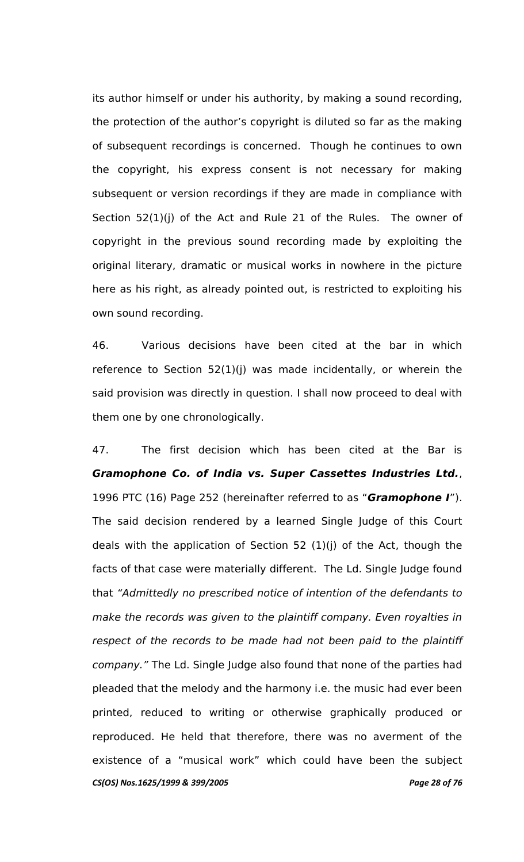its author himself or under his authority, by making a sound recording, the protection of the author"s copyright is diluted so far as the making of subsequent recordings is concerned. Though he continues to own the copyright, his express consent is not necessary for making subsequent or version recordings if they are made in compliance with Section 52(1)(j) of the Act and Rule 21 of the Rules. The owner of copyright in the previous sound recording made by exploiting the original literary, dramatic or musical works in nowhere in the picture here as his right, as already pointed out, is restricted to exploiting his own sound recording.

46. Various decisions have been cited at the bar in which reference to Section 52(1)(j) was made incidentally, or wherein the said provision was directly in question. I shall now proceed to deal with them one by one chronologically.

*CS(OS) Nos.1625/1999 & 399/2005 Page 28 of 76* 47. The first decision which has been cited at the Bar is *Gramophone Co. of India vs. Super Cassettes Industries Ltd.*, 1996 PTC (16) Page 252 (hereinafter referred to as "*Gramophone I*"). The said decision rendered by a learned Single Judge of this Court deals with the application of Section 52 (1)(j) of the Act, though the facts of that case were materially different. The Ld. Single Judge found that *"Admittedly no prescribed notice of intention of the defendants to make the records was given to the plaintiff company. Even royalties in respect of the records to be made had not been paid to the plaintiff company."* The Ld. Single Judge also found that none of the parties had pleaded that the melody and the harmony i.e. the music had ever been printed, reduced to writing or otherwise graphically produced or reproduced. He held that therefore, there was no averment of the existence of a "musical work" which could have been the subject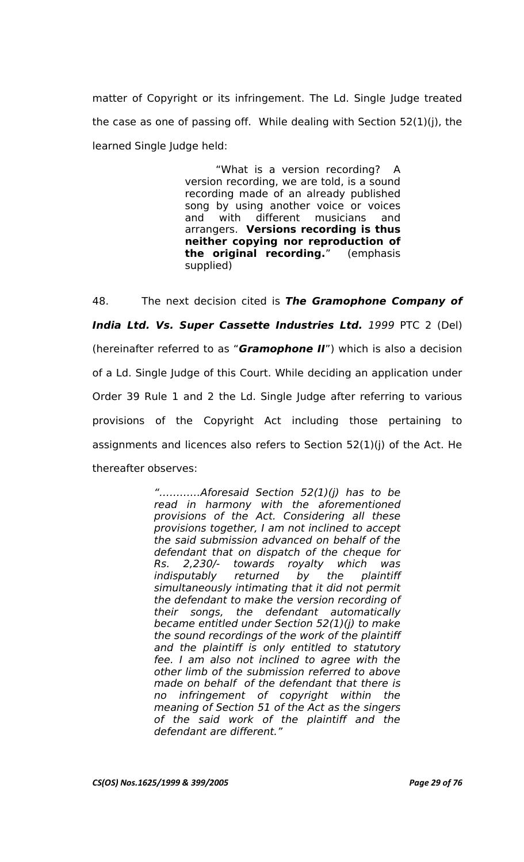matter of Copyright or its infringement. The Ld. Single Judge treated the case as one of passing off. While dealing with Section 52(1)(j), the learned Single Judge held:

> "What is a version recording? A version recording, we are told, is a sound recording made of an already published song by using another voice or voices and with different musicians and arrangers. **Versions recording is thus neither copying nor reproduction of the original recording.**" (emphasis supplied)

48. The next decision cited is *The Gramophone Company of India Ltd. Vs. Super Cassette Industries Ltd. 1999* PTC 2 (Del) (hereinafter referred to as "*Gramophone II*") which is also a decision of a Ld. Single Judge of this Court. While deciding an application under Order 39 Rule 1 and 2 the Ld. Single Judge after referring to various provisions of the Copyright Act including those pertaining to assignments and licences also refers to Section 52(1)(j) of the Act. He thereafter observes:

> *"…………Aforesaid Section 52(1)(j) has to be read in harmony with the aforementioned provisions of the Act. Considering all these provisions together, I am not inclined to accept the said submission advanced on behalf of the defendant that on dispatch of the cheque for Rs. 2,230/- towards royalty which was indisputably returned by the plaintiff simultaneously intimating that it did not permit the defendant to make the version recording of their songs, the defendant automatically became entitled under Section 52(1)(j) to make the sound recordings of the work of the plaintiff and the plaintiff is only entitled to statutory fee. I am also not inclined to agree with the other limb of the submission referred to above made on behalf of the defendant that there is no infringement of copyright within the meaning of Section 51 of the Act as the singers of the said work of the plaintiff and the defendant are different."*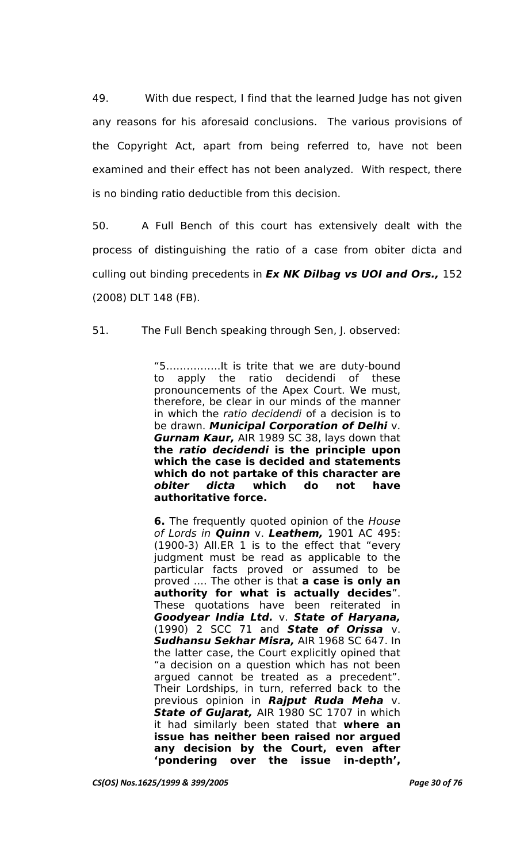49. With due respect, I find that the learned Judge has not given any reasons for his aforesaid conclusions. The various provisions of the Copyright Act, apart from being referred to, have not been examined and their effect has not been analyzed. With respect, there is no binding ratio deductible from this decision.

50. A Full Bench of this court has extensively dealt with the process of distinguishing the ratio of a case from obiter dicta and culling out binding precedents in *Ex NK Dilbag vs UOI and Ors.,* 152 (2008) DLT 148 (FB).

51. The Full Bench speaking through Sen, J. observed:

"5…………….It is trite that we are duty-bound to apply the ratio decidendi of these pronouncements of the Apex Court. We must, therefore, be clear in our minds of the manner in which the *ratio decidendi* of a decision is to be drawn. *Municipal Corporation of Delhi* v. *Gurnam Kaur,* AIR 1989 SC 38, lays down that **the** *ratio decidendi* **is the principle upon which the case is decided and statements which do not partake of this character are**  *obiter dicta* **which do not have authoritative force.**

**6.** The frequently quoted opinion of the *House of Lords in Quinn* v. *Leathem,* 1901 AC 495: (1900-3) All.ER 1 is to the effect that "every judgment must be read as applicable to the particular facts proved or assumed to be proved .... The other is that **a case is only an authority for what is actually decides**". These quotations have been reiterated in *Goodyear India Ltd.* v. *State of Haryana,* (1990) 2 SCC 71 and *State of Orissa* v. *Sudhansu Sekhar Misra,* AIR 1968 SC 647. In the latter case, the Court explicitly opined that "a decision on a question which has not been argued cannot be treated as a precedent". Their Lordships, in turn, referred back to the previous opinion in *Rajput Ruda Meha* v. *State of Gujarat,* AIR 1980 SC 1707 in which it had similarly been stated that **where an issue has neither been raised nor argued any decision by the Court, even after "pondering over the issue in-depth",**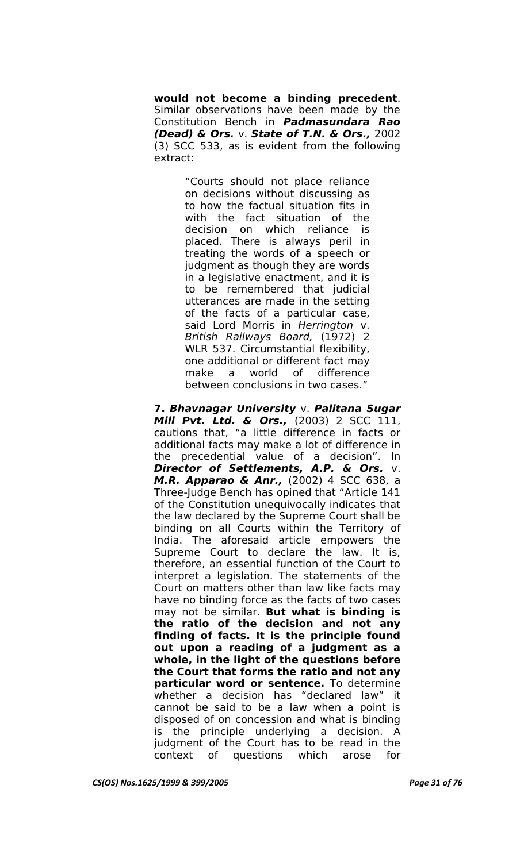**would not become a binding precedent**. Similar observations have been made by the Constitution Bench in *Padmasundara Rao (Dead) & Ors.* v. *State of T.N. & Ors.,* 2002 (3) SCC 533, as is evident from the following extract:

> "Courts should not place reliance on decisions without discussing as to how the factual situation fits in with the fact situation of the decision on which reliance is placed. There is always peril in treating the words of a speech or judgment as though they are words in a legislative enactment, and it is to be remembered that judicial utterances are made in the setting of the facts of a particular case, said Lord Morris in *Herrington* v. *British Railways Board,* (1972) 2 WLR 537. Circumstantial flexibility, one additional or different fact may make a world of difference between conclusions in two cases."

**7.** *Bhavnagar University* v. *Palitana Sugar Mill Pvt. Ltd. & Ors.,* (2003) 2 SCC 111, cautions that, "a little difference in facts or additional facts may make a lot of difference in the precedential value of a decision". In *Director of Settlements, A.P. & Ors.* v. *M.R. Apparao & Anr.,* (2002) 4 SCC 638, a Three-Judge Bench has opined that "Article 141 of the Constitution unequivocally indicates that the law declared by the Supreme Court shall be binding on all Courts within the Territory of India. The aforesaid article empowers the Supreme Court to declare the law. It is, therefore, an essential function of the Court to interpret a legislation. The statements of the Court on matters other than law like facts may have no binding force as the facts of two cases may not be similar. **But what is binding is the ratio of the decision and not any finding of facts. It is the principle found out upon a reading of a judgment as a whole, in the light of the questions before the Court that forms the ratio and not any particular word or sentence.** To determine whether a decision has "declared law" it cannot be said to be a law when a point is disposed of on concession and what is binding is the principle underlying a decision. A judgment of the Court has to be read in the context of questions which arose for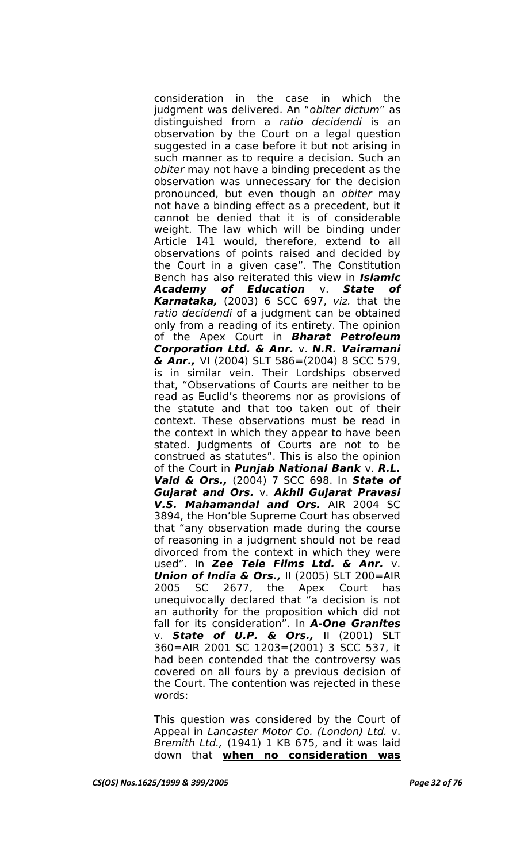consideration in the case in which the judgment was delivered. An "*obiter dictum*" as distinguished from a *ratio decidendi* is an observation by the Court on a legal question suggested in a case before it but not arising in such manner as to require a decision. Such an *obiter* may not have a binding precedent as the observation was unnecessary for the decision pronounced, but even though an *obiter* may not have a binding effect as a precedent, but it cannot be denied that it is of considerable weight. The law which will be binding under Article 141 would, therefore, extend to all observations of points raised and decided by the Court in a given case". The Constitution Bench has also reiterated this view in *Islamic Academy of Education* v. *State of Karnataka,* (2003) 6 SCC 697, *viz.* that the *ratio decidendi* of a judgment can be obtained only from a reading of its entirety. The opinion of the Apex Court in *Bharat Petroleum Corporation Ltd. & Anr.* v. *N.R. Vairamani & Anr.,* VI (2004) SLT 586=(2004) 8 SCC 579, is in similar vein. Their Lordships observed that, "Observations of Courts are neither to be read as Euclid"s theorems nor as provisions of the statute and that too taken out of their context. These observations must be read in the context in which they appear to have been stated. Judgments of Courts are not to be construed as statutes". This is also the opinion of the Court in *Punjab National Bank* v. *R.L. Vaid & Ors.,* (2004) 7 SCC 698. In *State of Gujarat and Ors.* v. *Akhil Gujarat Pravasi V.S. Mahamandal and Ors.* AIR 2004 SC 3894, the Hon"ble Supreme Court has observed that "any observation made during the course of reasoning in a judgment should not be read divorced from the context in which they were used". In *Zee Tele Films Ltd. & Anr.* v. *Union of India & Ors., II (2005) SLT 200=AIR* 2005 SC 2677, the Apex Court has unequivocally declared that "a decision is not an authority for the proposition which did not fall for its consideration". In *A-One Granites* v. *State of U.P. & Ors.,* II (2001) SLT 360=AIR 2001 SC 1203=(2001) 3 SCC 537, it had been contended that the controversy was covered on all fours by a previous decision of the Court. The contention was rejected in these words:

This question was considered by the Court of Appeal in *Lancaster Motor Co. (London) Ltd.* v. *Bremith Ltd.,* (1941) 1 KB 675, and it was laid down that **when no consideration was**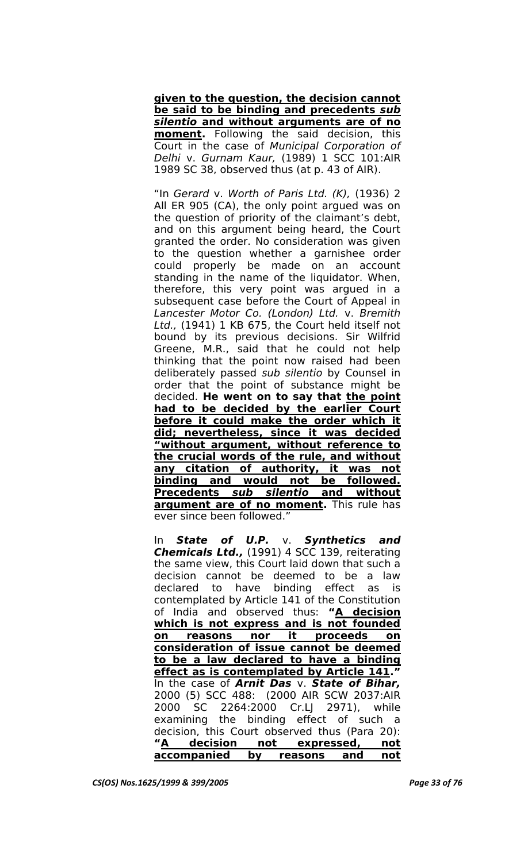**given to the question, the decision cannot be said to be binding and precedents** *sub silentio* **and without arguments are of no moment.** Following the said decision, this Court in the case of *Municipal Corporation of Delhi* v. *Gurnam Kaur,* (1989) 1 SCC 101:AIR 1989 SC 38, observed thus (at p. 43 of AIR).

"In *Gerard* v. *Worth of Paris Ltd. (K),* (1936) 2 All ER 905 (CA), the only point argued was on the question of priority of the claimant"s debt, and on this argument being heard, the Court granted the order. No consideration was given to the question whether a garnishee order could properly be made on an account standing in the name of the liquidator. When, therefore, this very point was argued in a subsequent case before the Court of Appeal in *Lancester Motor Co. (London) Ltd.* v. *Bremith Ltd.,* (1941) 1 KB 675, the Court held itself not bound by its previous decisions. Sir Wilfrid Greene, M.R., said that he could not help thinking that the point now raised had been deliberately passed *sub silentio* by Counsel in order that the point of substance might be decided. **He went on to say that the point had to be decided by the earlier Court before it could make the order which it did; nevertheless, since it was decided "without argument, without reference to the crucial words of the rule, and without any citation of authority, it was not binding and would not be followed. Precedents** *sub silentio* **and without argument are of no moment.** This rule has ever since been followed."

In *State of U.P.* v. *Synthetics and Chemicals Ltd.,* (1991) 4 SCC 139, reiterating the same view, this Court laid down that such a decision cannot be deemed to be a law declared to have binding effect as is contemplated by Article 141 of the Constitution of India and observed thus: **"A decision which is not express and is not founded on reasons nor it proceeds on consideration of issue cannot be deemed to be a law declared to have a binding effect as is contemplated by Article 141."** In the case of *Arnit Das* v. *State of Bihar,* 2000 (5) SCC 488: (2000 AIR SCW 2037:AIR 2000 SC 2264:2000 Cr.LJ 2971), while examining the binding effect of such a decision, this Court observed thus (Para 20): **"A decision not expressed, not accompanied by reasons and not**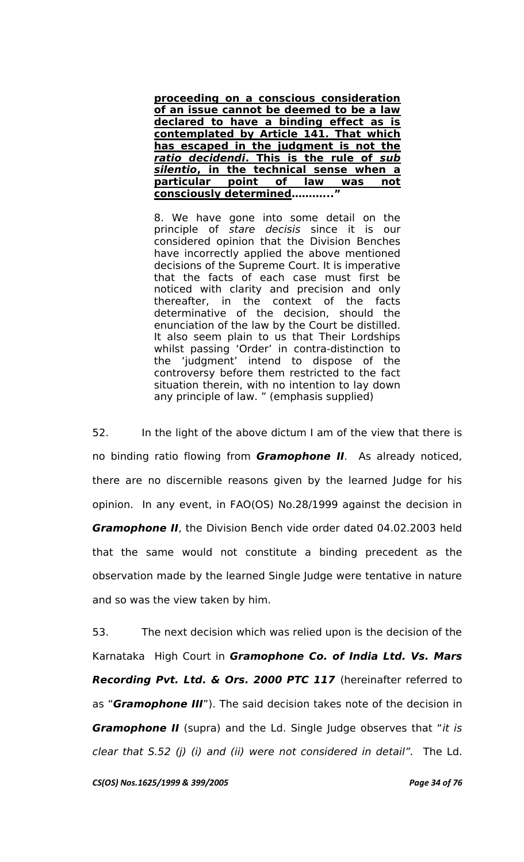**proceeding on a conscious consideration of an issue cannot be deemed to be a law declared to have a binding effect as is contemplated by Article 141. That which has escaped in the judgment is not the**  *ratio decidendi***. This is the rule of** *sub silentio***, in the technical sense when a particular point of law was not consciously determined………..."**

8. We have gone into some detail on the principle of *stare decisis* since it is our considered opinion that the Division Benches have incorrectly applied the above mentioned decisions of the Supreme Court. It is imperative that the facts of each case must first be noticed with clarity and precision and only thereafter, in the context of the facts determinative of the decision, should the enunciation of the law by the Court be distilled. It also seem plain to us that Their Lordships whilst passing "Order" in contra-distinction to the "judgment" intend to dispose of the controversy before them restricted to the fact situation therein, with no intention to lay down any principle of law. " (emphasis supplied)

52. In the light of the above dictum I am of the view that there is no binding ratio flowing from *Gramophone II*. As already noticed, there are no discernible reasons given by the learned Judge for his opinion. In any event, in FAO(OS) No.28/1999 against the decision in *Gramophone II*, the Division Bench vide order dated 04.02.2003 held that the same would not constitute a binding precedent as the observation made by the learned Single Judge were tentative in nature and so was the view taken by him.

53. The next decision which was relied upon is the decision of the Karnataka High Court in *Gramophone Co. of India Ltd. Vs. Mars Recording Pvt. Ltd. & Ors. 2000 PTC 117* (hereinafter referred to as "*Gramophone III*"). The said decision takes note of the decision in *Gramophone II* (supra) and the Ld. Single Judge observes that "*it is clear that S.52 (j) (i) and (ii) were not considered in detail".* The Ld.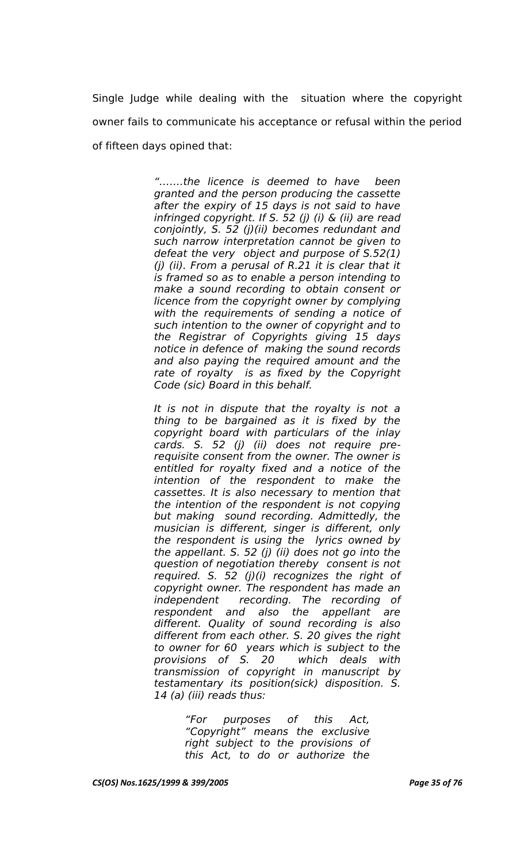Single Judge while dealing with the situation where the copyright owner fails to communicate his acceptance or refusal within the period of fifteen days opined that:

> *"…….the licence is deemed to have been granted and the person producing the cassette after the expiry of 15 days is not said to have infringed copyright. If S. 52 (j) (i) & (ii) are read conjointly, S. 52 (j)(ii) becomes redundant and such narrow interpretation cannot be given to defeat the very object and purpose of S.52(1) (j) (ii). From a perusal of R.21 it is clear that it is framed so as to enable a person intending to make a sound recording to obtain consent or licence from the copyright owner by complying with the requirements of sending a notice of such intention to the owner of copyright and to the Registrar of Copyrights giving 15 days notice in defence of making the sound records and also paying the required amount and the rate of royalty is as fixed by the Copyright Code (sic) Board in this behalf.*

> *It is not in dispute that the royalty is not a thing to be bargained as it is fixed by the copyright board with particulars of the inlay cards. S. 52 (j) (ii) does not require prerequisite consent from the owner. The owner is entitled for royalty fixed and a notice of the intention of the respondent to make the cassettes. It is also necessary to mention that the intention of the respondent is not copying but making sound recording. Admittedly, the musician is different, singer is different, only the respondent is using the lyrics owned by the appellant. S. 52 (j) (ii) does not go into the question of negotiation thereby consent is not required. S. 52 (j)(i) recognizes the right of copyright owner. The respondent has made an independent recording. The recording of respondent and also the appellant are different. Quality of sound recording is also different from each other. S. 20 gives the right to owner for 60 years which is subject to the provisions of S. 20 which deals with transmission of copyright in manuscript by testamentary its position(sick) disposition. S. 14 (a) (iii) reads thus:*

> > *"For purposes of this Act, "Copyright" means the exclusive right subject to the provisions of this Act, to do or authorize the*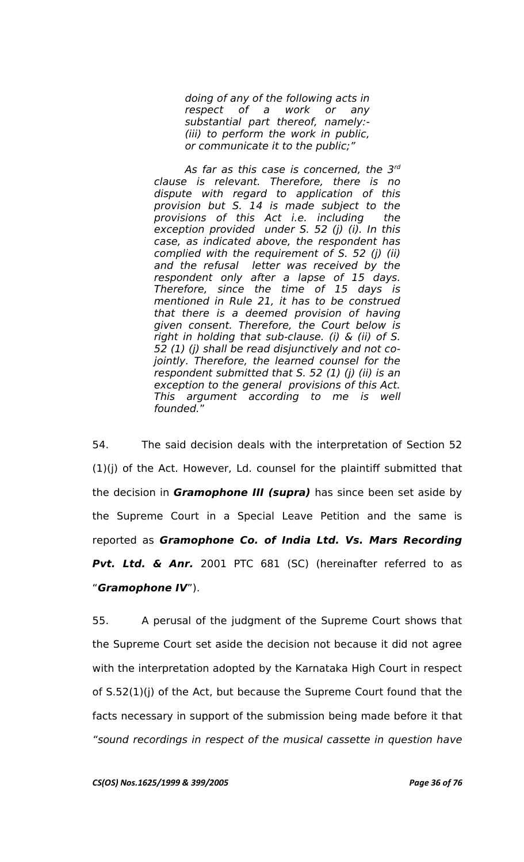*doing of any of the following acts in respect of a work or any substantial part thereof, namely:- (iii) to perform the work in public, or communicate it to the public;"*

*As far as this case is concerned, the 3rd clause is relevant. Therefore, there is no dispute with regard to application of this provision but S. 14 is made subject to the provisions of this Act i.e. including the exception provided under S. 52 (j) (i). In this case, as indicated above, the respondent has complied with the requirement of S. 52 (j) (ii) and the refusal letter was received by the respondent only after a lapse of 15 days. Therefore, since the time of 15 days is mentioned in Rule 21, it has to be construed that there is a deemed provision of having given consent. Therefore, the Court below is right in holding that sub-clause. (i) & (ii) of S. 52 (1) (j) shall be read disjunctively and not cojointly. Therefore, the learned counsel for the respondent submitted that S. 52 (1) (j) (ii) is an exception to the general provisions of this Act. This argument according to me is well founded.*"

54. The said decision deals with the interpretation of Section 52 (1)(j) of the Act. However, Ld. counsel for the plaintiff submitted that the decision in *Gramophone III (supra)* has since been set aside by the Supreme Court in a Special Leave Petition and the same is reported as *Gramophone Co. of India Ltd. Vs. Mars Recording*  Pvt. Ltd. & Anr. 2001 PTC 681 (SC) (hereinafter referred to as "*Gramophone IV*").

55. A perusal of the judgment of the Supreme Court shows that the Supreme Court set aside the decision not because it did not agree with the interpretation adopted by the Karnataka High Court in respect of S.52(1)(j) of the Act, but because the Supreme Court found that the facts necessary in support of the submission being made before it that *"sound recordings in respect of the musical cassette in question have*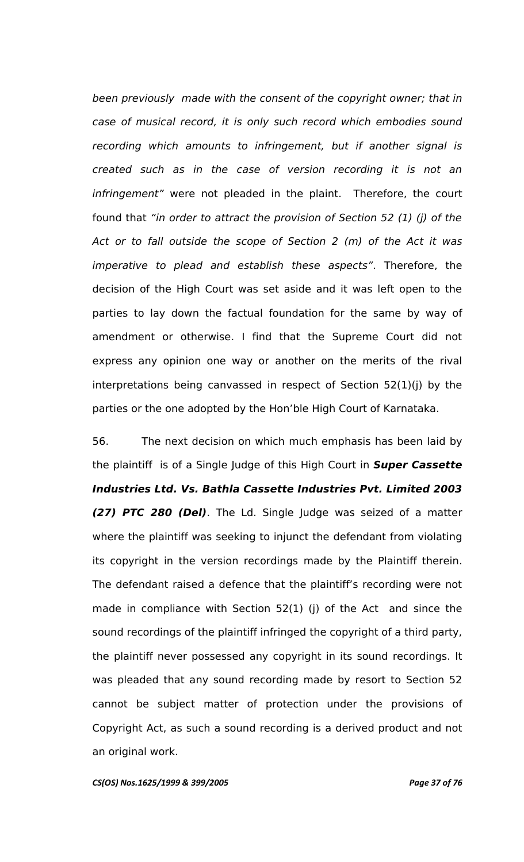*been previously made with the consent of the copyright owner; that in case of musical record, it is only such record which embodies sound recording which amounts to infringement, but if another signal is created such as in the case of version recording it is not an infringement"* were not pleaded in the plaint. Therefore, the court found that *"in order to attract the provision of Section 52 (1) (j) of the Act or to fall outside the scope of Section 2 (m) of the Act it was imperative to plead and establish these aspects"*. Therefore, the decision of the High Court was set aside and it was left open to the parties to lay down the factual foundation for the same by way of amendment or otherwise. I find that the Supreme Court did not express any opinion one way or another on the merits of the rival interpretations being canvassed in respect of Section 52(1)(j) by the parties or the one adopted by the Hon"ble High Court of Karnataka.

56. The next decision on which much emphasis has been laid by the plaintiff is of a Single Judge of this High Court in *Super Cassette Industries Ltd. Vs. Bathla Cassette Industries Pvt. Limited 2003 (27) PTC 280 (Del)*. The Ld. Single Judge was seized of a matter where the plaintiff was seeking to injunct the defendant from violating its copyright in the version recordings made by the Plaintiff therein. The defendant raised a defence that the plaintiff's recording were not made in compliance with Section 52(1) (j) of the Act and since the sound recordings of the plaintiff infringed the copyright of a third party, the plaintiff never possessed any copyright in its sound recordings. It was pleaded that any sound recording made by resort to Section 52 cannot be subject matter of protection under the provisions of Copyright Act, as such a sound recording is a derived product and not an original work.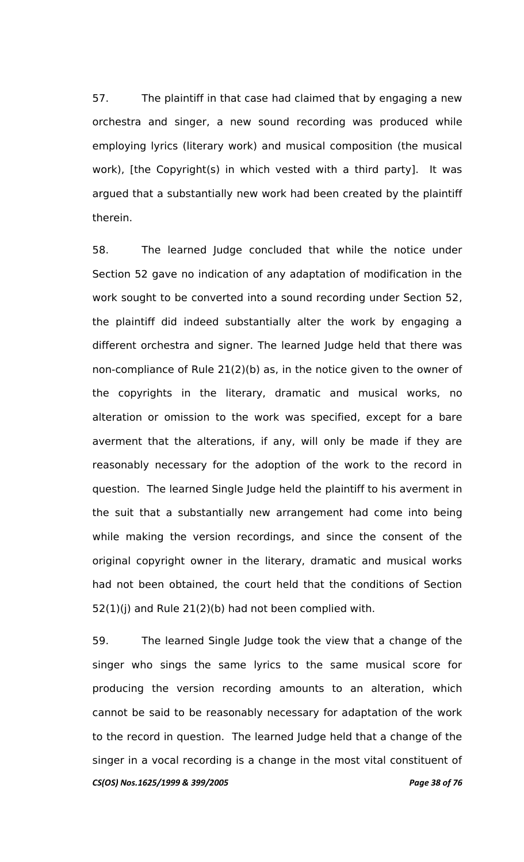57. The plaintiff in that case had claimed that by engaging a new orchestra and singer, a new sound recording was produced while employing lyrics (literary work) and musical composition (the musical work), [the Copyright(s) in which vested with a third party]. It was argued that a substantially new work had been created by the plaintiff therein.

58. The learned Judge concluded that while the notice under Section 52 gave no indication of any adaptation of modification in the work sought to be converted into a sound recording under Section 52, the plaintiff did indeed substantially alter the work by engaging a different orchestra and signer. The learned Judge held that there was non-compliance of Rule 21(2)(b) as, in the notice given to the owner of the copyrights in the literary, dramatic and musical works, no alteration or omission to the work was specified, except for a bare averment that the alterations, if any, will only be made if they are reasonably necessary for the adoption of the work to the record in question. The learned Single Judge held the plaintiff to his averment in the suit that a substantially new arrangement had come into being while making the version recordings, and since the consent of the original copyright owner in the literary, dramatic and musical works had not been obtained, the court held that the conditions of Section 52(1)(j) and Rule 21(2)(b) had not been complied with.

*CS(OS) Nos.1625/1999 & 399/2005 Page 38 of 76* 59. The learned Single Judge took the view that a change of the singer who sings the same lyrics to the same musical score for producing the version recording amounts to an alteration, which cannot be said to be reasonably necessary for adaptation of the work to the record in question. The learned Judge held that a change of the singer in a vocal recording is a change in the most vital constituent of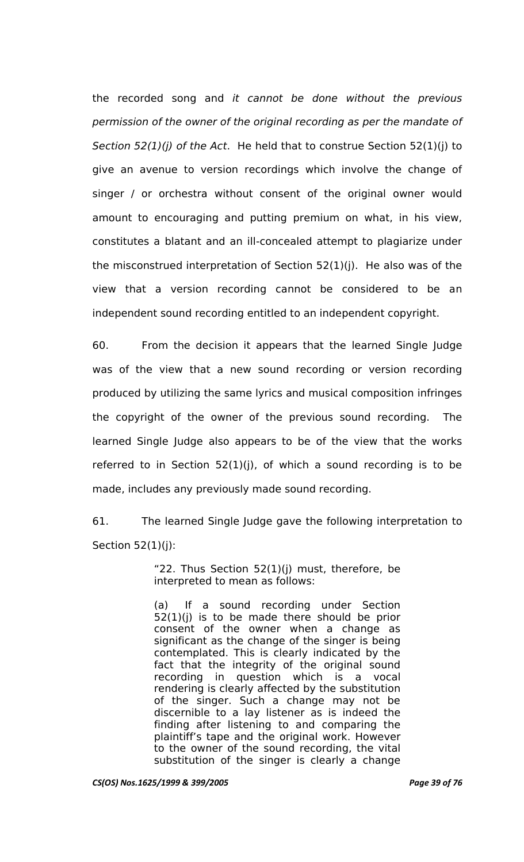the recorded song and *it cannot be done without the previous permission of the owner of the original recording as per the mandate of Section 52(1)(j) of the Act*. He held that to construe Section 52(1)(j) to give an avenue to version recordings which involve the change of singer / or orchestra without consent of the original owner would amount to encouraging and putting premium on what, in his view, constitutes a blatant and an ill-concealed attempt to plagiarize under the misconstrued interpretation of Section 52(1)(j). He also was of the view that a version recording cannot be considered to be an independent sound recording entitled to an independent copyright.

60. From the decision it appears that the learned Single Judge was of the view that a new sound recording or version recording produced by utilizing the same lyrics and musical composition infringes the copyright of the owner of the previous sound recording. The learned Single Judge also appears to be of the view that the works referred to in Section  $52(1)(j)$ , of which a sound recording is to be made, includes any previously made sound recording.

61. The learned Single Judge gave the following interpretation to Section 52(1)(j):

> "22. Thus Section 52(1)(j) must, therefore, be interpreted to mean as follows:

> (a) If a sound recording under Section  $52(1)(i)$  is to be made there should be prior consent of the owner when a change as significant as the change of the singer is being contemplated. This is clearly indicated by the fact that the integrity of the original sound recording in question which is a vocal rendering is clearly affected by the substitution of the singer. Such a change may not be discernible to a lay listener as is indeed the finding after listening to and comparing the plaintiff"s tape and the original work. However to the owner of the sound recording, the vital substitution of the singer is clearly a change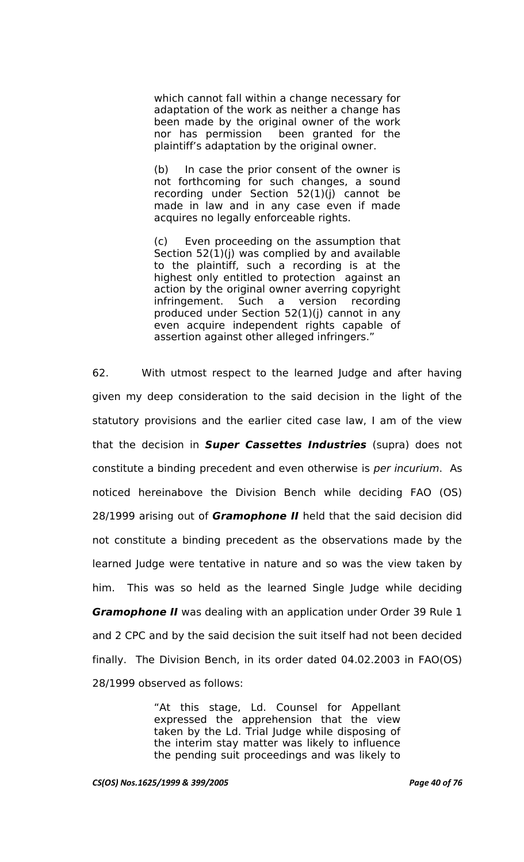which cannot fall within a change necessary for adaptation of the work as neither a change has been made by the original owner of the work nor has permission been granted for the plaintiff"s adaptation by the original owner.

(b) In case the prior consent of the owner is not forthcoming for such changes, a sound recording under Section  $52(1)(j)$  cannot be made in law and in any case even if made acquires no legally enforceable rights.

(c) Even proceeding on the assumption that Section 52(1)(j) was complied by and available to the plaintiff, such a recording is at the highest only entitled to protection against an action by the original owner averring copyright infringement. Such a version recording produced under Section 52(1)(j) cannot in any even acquire independent rights capable of assertion against other alleged infringers."

62. With utmost respect to the learned Judge and after having given my deep consideration to the said decision in the light of the statutory provisions and the earlier cited case law, I am of the view that the decision in *Super Cassettes Industries* (supra) does not constitute a binding precedent and even otherwise is *per incurium*. As noticed hereinabove the Division Bench while deciding FAO (OS) 28/1999 arising out of *Gramophone II* held that the said decision did not constitute a binding precedent as the observations made by the learned Judge were tentative in nature and so was the view taken by him. This was so held as the learned Single Judge while deciding *Gramophone II* was dealing with an application under Order 39 Rule 1 and 2 CPC and by the said decision the suit itself had not been decided finally. The Division Bench, in its order dated 04.02.2003 in FAO(OS) 28/1999 observed as follows:

> "At this stage, Ld. Counsel for Appellant expressed the apprehension that the view taken by the Ld. Trial Judge while disposing of the interim stay matter was likely to influence the pending suit proceedings and was likely to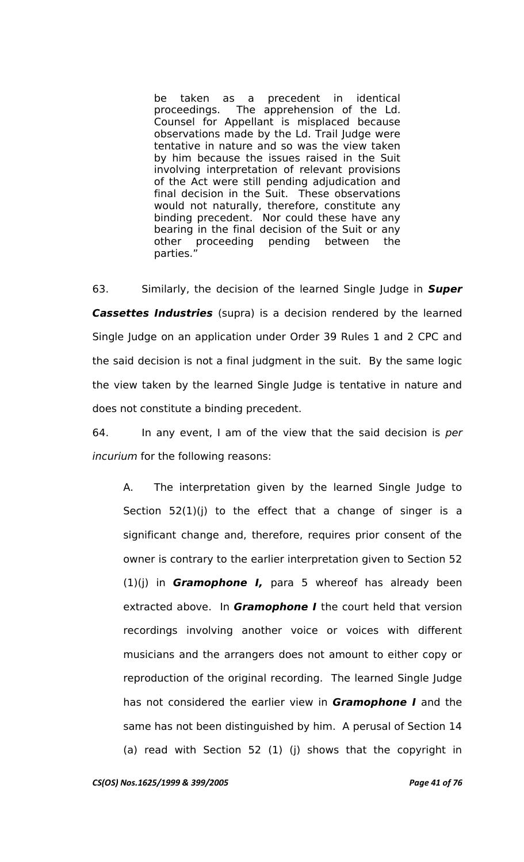be taken as a precedent in identical proceedings. The apprehension of the Ld. Counsel for Appellant is misplaced because observations made by the Ld. Trail Judge were tentative in nature and so was the view taken by him because the issues raised in the Suit involving interpretation of relevant provisions of the Act were still pending adjudication and final decision in the Suit. These observations would not naturally, therefore, constitute any binding precedent. Nor could these have any bearing in the final decision of the Suit or any other proceeding pending between the parties."

63. Similarly, the decision of the learned Single Judge in *Super Cassettes Industries* (supra) is a decision rendered by the learned Single Judge on an application under Order 39 Rules 1 and 2 CPC and the said decision is not a final judgment in the suit. By the same logic the view taken by the learned Single Judge is tentative in nature and does not constitute a binding precedent.

64. In any event, I am of the view that the said decision is *per incurium* for the following reasons:

A. The interpretation given by the learned Single Judge to Section 52(1)(j) to the effect that a change of singer is a significant change and, therefore, requires prior consent of the owner is contrary to the earlier interpretation given to Section 52 (1)(j) in *Gramophone I,* para 5 whereof has already been extracted above. In *Gramophone I* the court held that version recordings involving another voice or voices with different musicians and the arrangers does not amount to either copy or reproduction of the original recording. The learned Single Judge has not considered the earlier view in *Gramophone I* and the same has not been distinguished by him. A perusal of Section 14 (a) read with Section 52 (1) (j) shows that the copyright in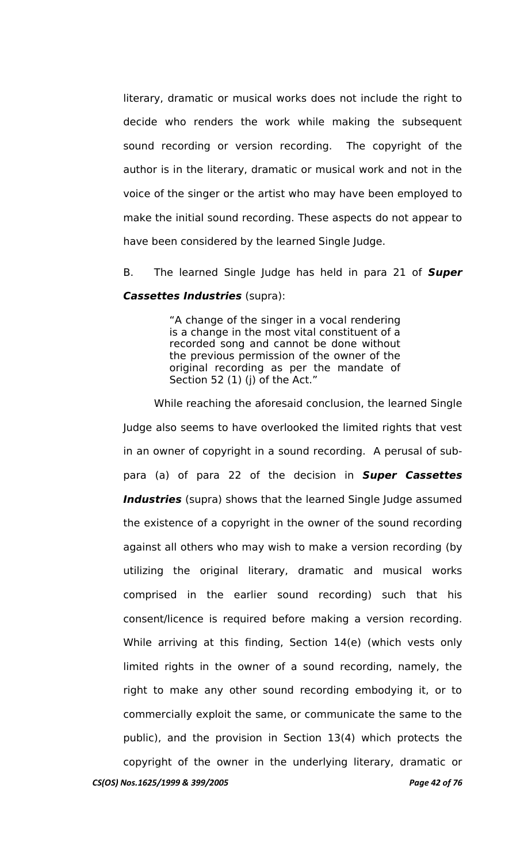literary, dramatic or musical works does not include the right to decide who renders the work while making the subsequent sound recording or version recording. The copyright of the author is in the literary, dramatic or musical work and not in the voice of the singer or the artist who may have been employed to make the initial sound recording. These aspects do not appear to have been considered by the learned Single Judge.

B. The learned Single Judge has held in para 21 of *Super Cassettes Industries* (supra):

> "A change of the singer in a vocal rendering is a change in the most vital constituent of a recorded song and cannot be done without the previous permission of the owner of the original recording as per the mandate of Section 52 (1) (j) of the Act."

While reaching the aforesaid conclusion, the learned Single Judge also seems to have overlooked the limited rights that vest in an owner of copyright in a sound recording. A perusal of subpara (a) of para 22 of the decision in *Super Cassettes Industries* (supra) shows that the learned Single Judge assumed the existence of a copyright in the owner of the sound recording against all others who may wish to make a version recording (by utilizing the original literary, dramatic and musical works comprised in the earlier sound recording) such that his consent/licence is required before making a version recording. While arriving at this finding, Section 14(e) (which vests only limited rights in the owner of a sound recording, namely, the right to make any other sound recording embodying it, or to commercially exploit the same, or communicate the same to the public), and the provision in Section 13(4) which protects the copyright of the owner in the underlying literary, dramatic or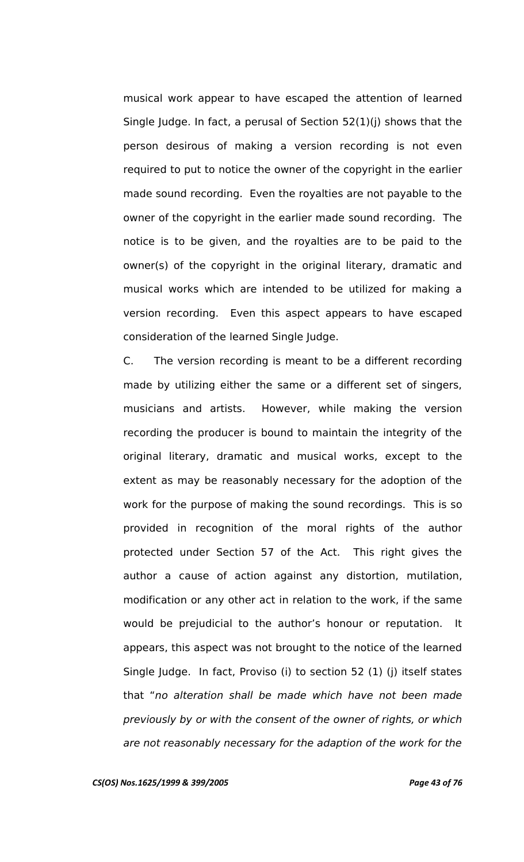musical work appear to have escaped the attention of learned Single Judge. In fact, a perusal of Section 52(1)(j) shows that the person desirous of making a version recording is not even required to put to notice the owner of the copyright in the earlier made sound recording. Even the royalties are not payable to the owner of the copyright in the earlier made sound recording. The notice is to be given, and the royalties are to be paid to the owner(s) of the copyright in the original literary, dramatic and musical works which are intended to be utilized for making a version recording. Even this aspect appears to have escaped consideration of the learned Single Judge.

C. The version recording is meant to be a different recording made by utilizing either the same or a different set of singers, musicians and artists. However, while making the version recording the producer is bound to maintain the integrity of the original literary, dramatic and musical works, except to the extent as may be reasonably necessary for the adoption of the work for the purpose of making the sound recordings. This is so provided in recognition of the moral rights of the author protected under Section 57 of the Act. This right gives the author a cause of action against any distortion, mutilation, modification or any other act in relation to the work, if the same would be prejudicial to the author"s honour or reputation. It appears, this aspect was not brought to the notice of the learned Single Judge. In fact, Proviso (i) to section 52 (1) (j) itself states that "*no alteration shall be made which have not been made previously by or with the consent of the owner of rights, or which are not reasonably necessary for the adaption of the work for the*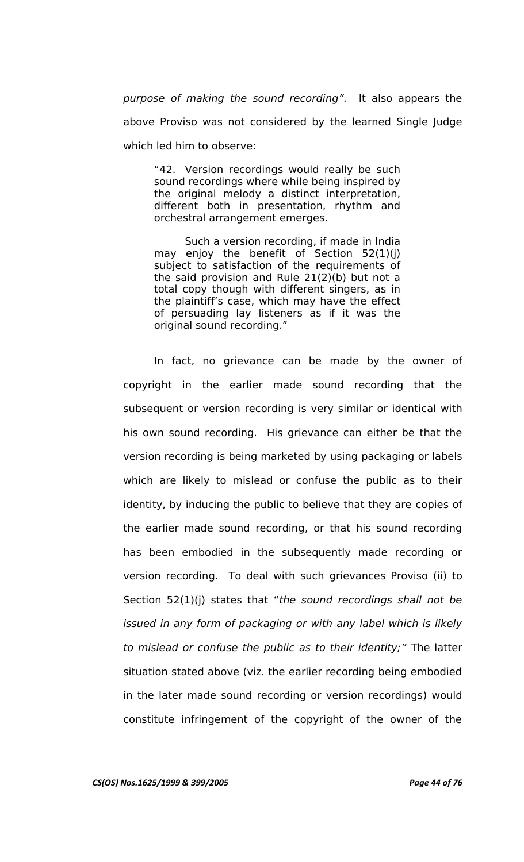*purpose of making the sound recording".* It also appears the above Proviso was not considered by the learned Single Judge which led him to observe:

"42. Version recordings would really be such sound recordings where while being inspired by the original melody a distinct interpretation, different both in presentation, rhythm and orchestral arrangement emerges.

Such a version recording, if made in India may enjoy the benefit of Section 52(1)(j) subject to satisfaction of the requirements of the said provision and Rule 21(2)(b) but not a total copy though with different singers, as in the plaintiff"s case, which may have the effect of persuading lay listeners as if it was the original sound recording."

In fact, no grievance can be made by the owner of copyright in the earlier made sound recording that the subsequent or version recording is very similar or identical with his own sound recording. His grievance can either be that the version recording is being marketed by using packaging or labels which are likely to mislead or confuse the public as to their identity, by inducing the public to believe that they are copies of the earlier made sound recording, or that his sound recording has been embodied in the subsequently made recording or version recording. To deal with such grievances Proviso (ii) to Section 52(1)(j) states that "*the sound recordings shall not be issued in any form of packaging or with any label which is likely to mislead or confuse the public as to their identity;"* The latter situation stated above (viz. the earlier recording being embodied in the later made sound recording or version recordings) would constitute infringement of the copyright of the owner of the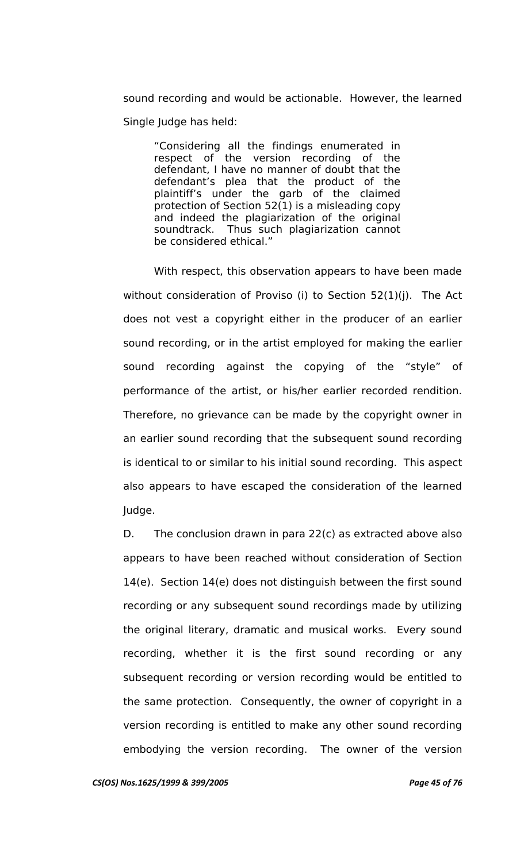sound recording and would be actionable. However, the learned Single Judge has held:

"Considering all the findings enumerated in respect of the version recording of the defendant, I have no manner of doubt that the defendant"s plea that the product of the plaintiff"s under the garb of the claimed protection of Section 52(1) is a misleading copy and indeed the plagiarization of the original soundtrack. Thus such plagiarization cannot be considered ethical."

With respect, this observation appears to have been made without consideration of Proviso (i) to Section 52(1)(j). The Act does not vest a copyright either in the producer of an earlier sound recording, or in the artist employed for making the earlier sound recording against the copying of the "style" of performance of the artist, or his/her earlier recorded rendition. Therefore, no grievance can be made by the copyright owner in an earlier sound recording that the subsequent sound recording is identical to or similar to his initial sound recording. This aspect also appears to have escaped the consideration of the learned Judge.

D. The conclusion drawn in para 22(c) as extracted above also appears to have been reached without consideration of Section 14(e). Section 14(e) does not distinguish between the first sound recording or any subsequent sound recordings made by utilizing the original literary, dramatic and musical works. Every sound recording, whether it is the first sound recording or any subsequent recording or version recording would be entitled to the same protection. Consequently, the owner of copyright in a version recording is entitled to make any other sound recording embodying the version recording. The owner of the version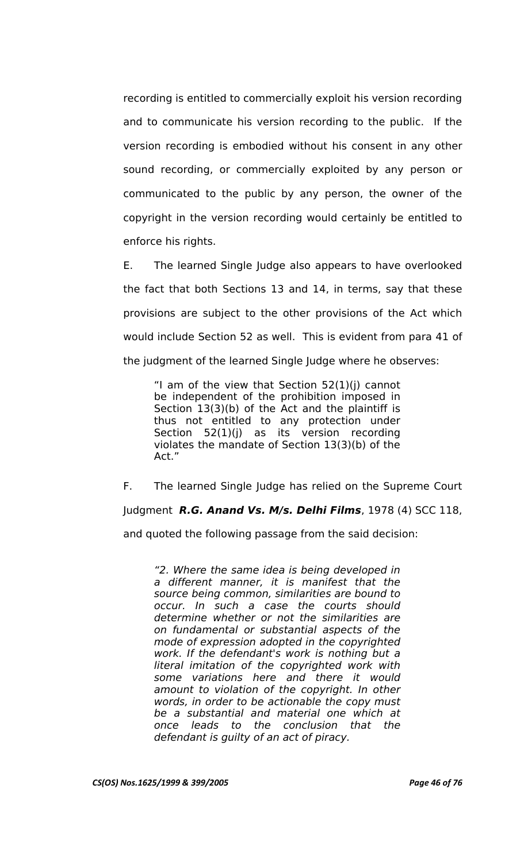recording is entitled to commercially exploit his version recording and to communicate his version recording to the public. If the version recording is embodied without his consent in any other sound recording, or commercially exploited by any person or communicated to the public by any person, the owner of the copyright in the version recording would certainly be entitled to enforce his rights.

E. The learned Single Judge also appears to have overlooked the fact that both Sections 13 and 14, in terms, say that these provisions are subject to the other provisions of the Act which would include Section 52 as well. This is evident from para 41 of the judgment of the learned Single Judge where he observes:

"I am of the view that Section  $52(1)(j)$  cannot be independent of the prohibition imposed in Section 13(3)(b) of the Act and the plaintiff is thus not entitled to any protection under Section 52(1)(j) as its version recording violates the mandate of Section 13(3)(b) of the Act."

F. The learned Single Judge has relied on the Supreme Court Judgment *R.G. Anand Vs. M/s. Delhi Films*, 1978 (4) SCC 118, and quoted the following passage from the said decision:

*"2. Where the same idea is being developed in a different manner, it is manifest that the source being common, similarities are bound to occur. In such a case the courts should determine whether or not the similarities are on fundamental or substantial aspects of the mode of expression adopted in the copyrighted work. If the defendant's work is nothing but a literal imitation of the copyrighted work with some variations here and there it would amount to violation of the copyright. In other words, in order to be actionable the copy must be a substantial and material one which at once leads to the conclusion that the defendant is guilty of an act of piracy.*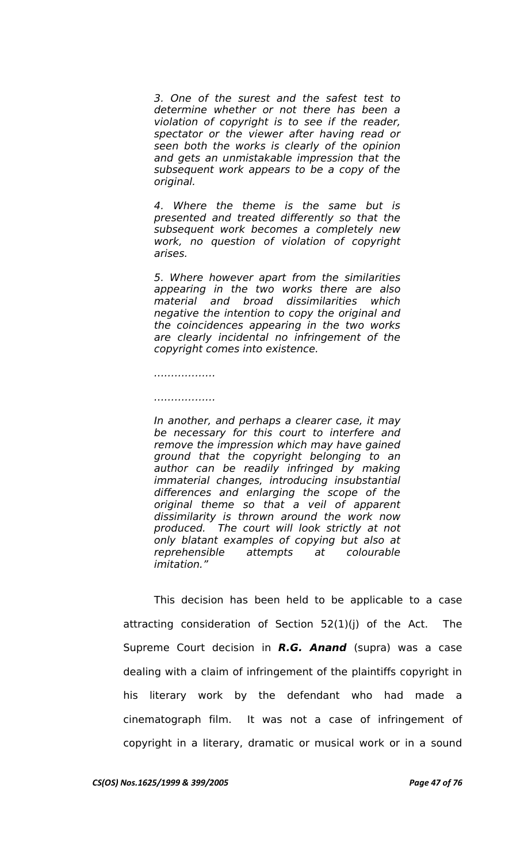*3. One of the surest and the safest test to determine whether or not there has been a violation of copyright is to see if the reader, spectator or the viewer after having read or seen both the works is clearly of the opinion and gets an unmistakable impression that the subsequent work appears to be a copy of the original.*

*4. Where the theme is the same but is presented and treated differently so that the subsequent work becomes a completely new work, no question of violation of copyright arises.*

*5. Where however apart from the similarities appearing in the two works there are also material and broad dissimilarities which negative the intention to copy the original and the coincidences appearing in the two works are clearly incidental no infringement of the copyright comes into existence.*

*………………*

*………………*

*In another, and perhaps a clearer case, it may be necessary for this court to interfere and remove the impression which may have gained ground that the copyright belonging to an author can be readily infringed by making immaterial changes, introducing insubstantial differences and enlarging the scope of the original theme so that a veil of apparent dissimilarity is thrown around the work now produced. The court will look strictly at not only blatant examples of copying but also at reprehensible attempts at colourable imitation."*

This decision has been held to be applicable to a case attracting consideration of Section 52(1)(j) of the Act. The Supreme Court decision in *R.G. Anand* (supra) was a case dealing with a claim of infringement of the plaintiffs copyright in his literary work by the defendant who had made a cinematograph film. It was not a case of infringement of copyright in a literary, dramatic or musical work or in a sound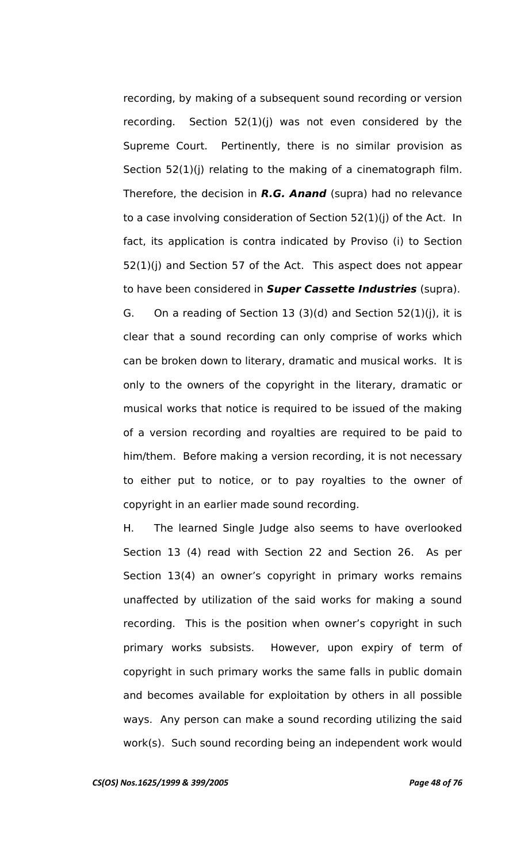recording, by making of a subsequent sound recording or version recording. Section 52(1)(j) was not even considered by the Supreme Court. Pertinently, there is no similar provision as Section 52(1)(j) relating to the making of a cinematograph film. Therefore, the decision in *R.G. Anand* (supra) had no relevance to a case involving consideration of Section 52(1)(j) of the Act. In fact, its application is contra indicated by Proviso (i) to Section 52(1)(j) and Section 57 of the Act. This aspect does not appear to have been considered in *Super Cassette Industries* (supra). G. On a reading of Section 13  $(3)(d)$  and Section 52 $(1)(j)$ , it is clear that a sound recording can only comprise of works which can be broken down to literary, dramatic and musical works. It is only to the owners of the copyright in the literary, dramatic or musical works that notice is required to be issued of the making of a version recording and royalties are required to be paid to him/them. Before making a version recording, it is not necessary to either put to notice, or to pay royalties to the owner of copyright in an earlier made sound recording.

H. The learned Single Judge also seems to have overlooked Section 13 (4) read with Section 22 and Section 26. As per Section 13(4) an owner's copyright in primary works remains unaffected by utilization of the said works for making a sound recording. This is the position when owner"s copyright in such primary works subsists. However, upon expiry of term of copyright in such primary works the same falls in public domain and becomes available for exploitation by others in all possible ways. Any person can make a sound recording utilizing the said work(s). Such sound recording being an independent work would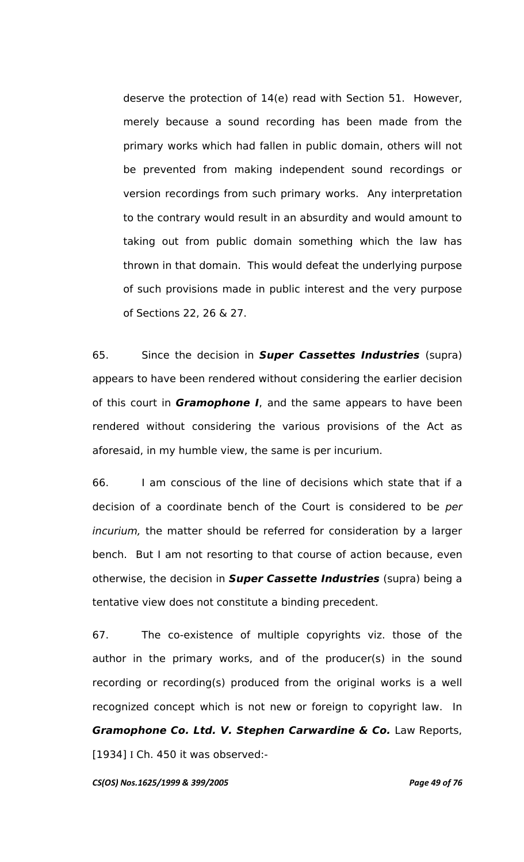deserve the protection of 14(e) read with Section 51. However, merely because a sound recording has been made from the primary works which had fallen in public domain, others will not be prevented from making independent sound recordings or version recordings from such primary works. Any interpretation to the contrary would result in an absurdity and would amount to taking out from public domain something which the law has thrown in that domain. This would defeat the underlying purpose of such provisions made in public interest and the very purpose of Sections 22, 26 & 27.

65. Since the decision in *Super Cassettes Industries* (supra) appears to have been rendered without considering the earlier decision of this court in *Gramophone I*, and the same appears to have been rendered without considering the various provisions of the Act as aforesaid, in my humble view, the same is per incurium.

66. I am conscious of the line of decisions which state that if a decision of a coordinate bench of the Court is considered to be *per incurium,* the matter should be referred for consideration by a larger bench. But I am not resorting to that course of action because, even otherwise, the decision in *Super Cassette Industries* (supra) being a tentative view does not constitute a binding precedent.

67. The co-existence of multiple copyrights viz. those of the author in the primary works, and of the producer(s) in the sound recording or recording(s) produced from the original works is a well recognized concept which is not new or foreign to copyright law. In *Gramophone Co. Ltd. V. Stephen Carwardine & Co.* Law Reports, [1934] I Ch. 450 it was observed:-

*CS(OS) Nos.1625/1999 & 399/2005 Page 49 of 76*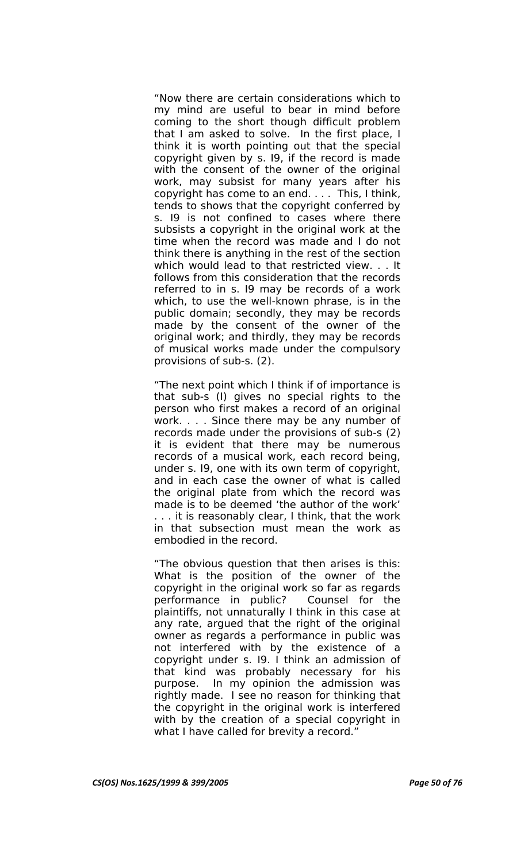"Now there are certain considerations which to my mind are useful to bear in mind before coming to the short though difficult problem that I am asked to solve. In the first place, I think it is worth pointing out that the special copyright given by s. I9, if the record is made with the consent of the owner of the original work, may subsist for many years after his copyright has come to an end. . . . This, I think, tends to shows that the copyright conferred by s. I9 is not confined to cases where there subsists a copyright in the original work at the time when the record was made and I do not think there is anything in the rest of the section which would lead to that restricted view. . . It follows from this consideration that the records referred to in s. I9 may be records of a work which, to use the well-known phrase, is in the public domain; secondly, they may be records made by the consent of the owner of the original work; and thirdly, they may be records of musical works made under the compulsory provisions of sub-s. (2).

"The next point which I think if of importance is that sub-s (I) gives no special rights to the person who first makes a record of an original work. . . . Since there may be any number of records made under the provisions of sub-s (2) it is evident that there may be numerous records of a musical work, each record being, under s. I9, one with its own term of copyright, and in each case the owner of what is called the original plate from which the record was made is to be deemed 'the author of the work' . . . it is reasonably clear, I think, that the work in that subsection must mean the work as embodied in the record.

"The obvious question that then arises is this: What is the position of the owner of the copyright in the original work so far as regards performance in public? Counsel for the plaintiffs, not unnaturally I think in this case at any rate, argued that the right of the original owner as regards a performance in public was not interfered with by the existence of a copyright under s. I9. I think an admission of that kind was probably necessary for his purpose. In my opinion the admission was rightly made. I see no reason for thinking that the copyright in the original work is interfered with by the creation of a special copyright in what I have called for brevity a record."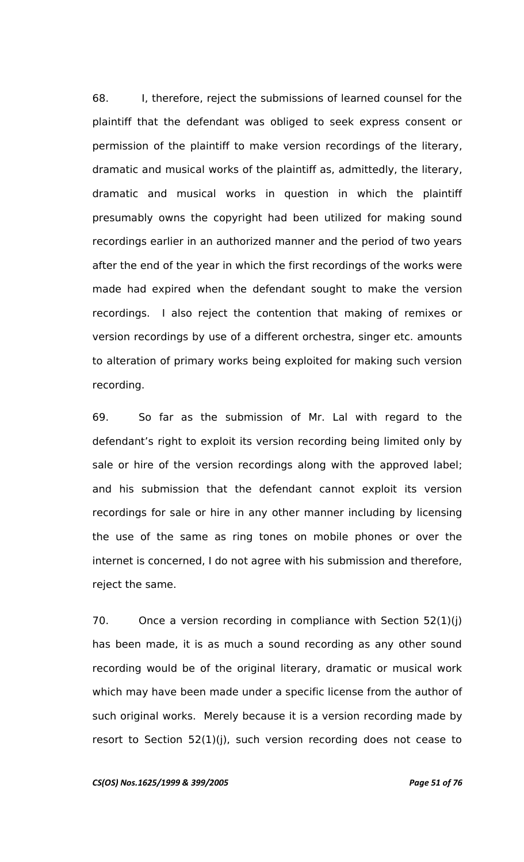68. I, therefore, reject the submissions of learned counsel for the plaintiff that the defendant was obliged to seek express consent or permission of the plaintiff to make version recordings of the literary, dramatic and musical works of the plaintiff as, admittedly, the literary, dramatic and musical works in question in which the plaintiff presumably owns the copyright had been utilized for making sound recordings earlier in an authorized manner and the period of two years after the end of the year in which the first recordings of the works were made had expired when the defendant sought to make the version recordings. I also reject the contention that making of remixes or version recordings by use of a different orchestra, singer etc. amounts to alteration of primary works being exploited for making such version recording.

69. So far as the submission of Mr. Lal with regard to the defendant"s right to exploit its version recording being limited only by sale or hire of the version recordings along with the approved label; and his submission that the defendant cannot exploit its version recordings for sale or hire in any other manner including by licensing the use of the same as ring tones on mobile phones or over the internet is concerned, I do not agree with his submission and therefore, reject the same.

70. Once a version recording in compliance with Section 52(1)(j) has been made, it is as much a sound recording as any other sound recording would be of the original literary, dramatic or musical work which may have been made under a specific license from the author of such original works. Merely because it is a version recording made by resort to Section 52(1)(j), such version recording does not cease to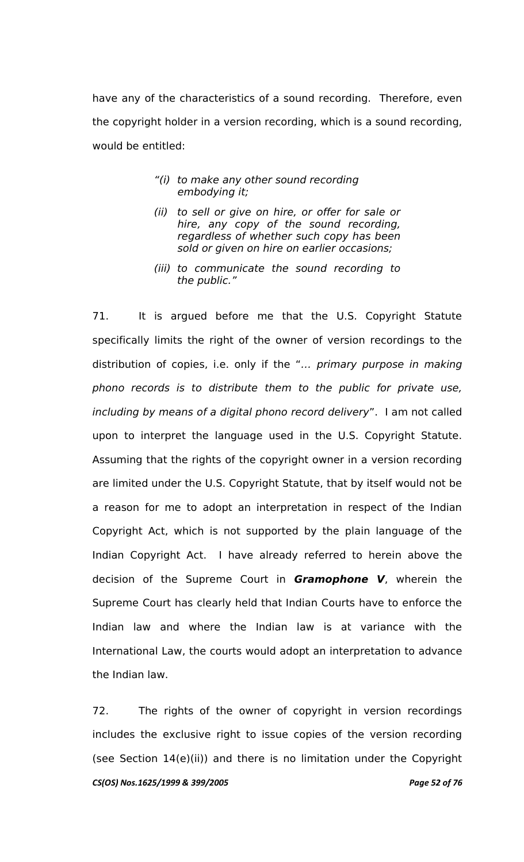have any of the characteristics of a sound recording. Therefore, even the copyright holder in a version recording, which is a sound recording, would be entitled:

- *"(i) to make any other sound recording embodying it;*
- *(ii) to sell or give on hire, or offer for sale or hire, any copy of the sound recording, regardless of whether such copy has been sold or given on hire on earlier occasions;*
- *(iii) to communicate the sound recording to the public."*

71. It is argued before me that the U.S. Copyright Statute specifically limits the right of the owner of version recordings to the distribution of copies, i.e. only if the "*… primary purpose in making phono records is to distribute them to the public for private use, including by means of a digital phono record delivery*". I am not called upon to interpret the language used in the U.S. Copyright Statute. Assuming that the rights of the copyright owner in a version recording are limited under the U.S. Copyright Statute, that by itself would not be a reason for me to adopt an interpretation in respect of the Indian Copyright Act, which is not supported by the plain language of the Indian Copyright Act. I have already referred to herein above the decision of the Supreme Court in *Gramophone V*, wherein the Supreme Court has clearly held that Indian Courts have to enforce the Indian law and where the Indian law is at variance with the International Law, the courts would adopt an interpretation to advance the Indian law.

*CS(OS) Nos.1625/1999 & 399/2005 Page 52 of 76* 72. The rights of the owner of copyright in version recordings includes the exclusive right to issue copies of the version recording (see Section 14(e)(ii)) and there is no limitation under the Copyright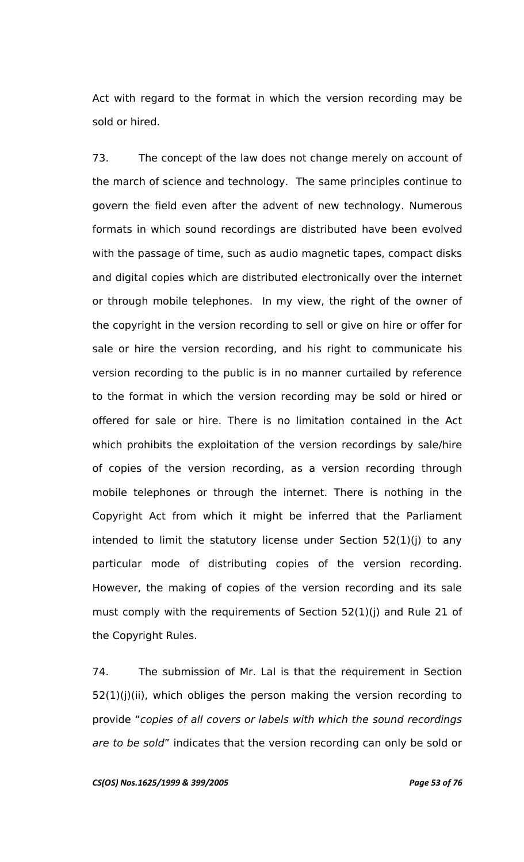Act with regard to the format in which the version recording may be sold or hired.

73. The concept of the law does not change merely on account of the march of science and technology. The same principles continue to govern the field even after the advent of new technology. Numerous formats in which sound recordings are distributed have been evolved with the passage of time, such as audio magnetic tapes, compact disks and digital copies which are distributed electronically over the internet or through mobile telephones. In my view, the right of the owner of the copyright in the version recording to sell or give on hire or offer for sale or hire the version recording, and his right to communicate his version recording to the public is in no manner curtailed by reference to the format in which the version recording may be sold or hired or offered for sale or hire. There is no limitation contained in the Act which prohibits the exploitation of the version recordings by sale/hire of copies of the version recording, as a version recording through mobile telephones or through the internet. There is nothing in the Copyright Act from which it might be inferred that the Parliament intended to limit the statutory license under Section 52(1)(j) to any particular mode of distributing copies of the version recording. However, the making of copies of the version recording and its sale must comply with the requirements of Section 52(1)(j) and Rule 21 of the Copyright Rules.

74. The submission of Mr. Lal is that the requirement in Section 52(1)(j)(ii), which obliges the person making the version recording to provide "*copies of all covers or labels with which the sound recordings are to be sold*" indicates that the version recording can only be sold or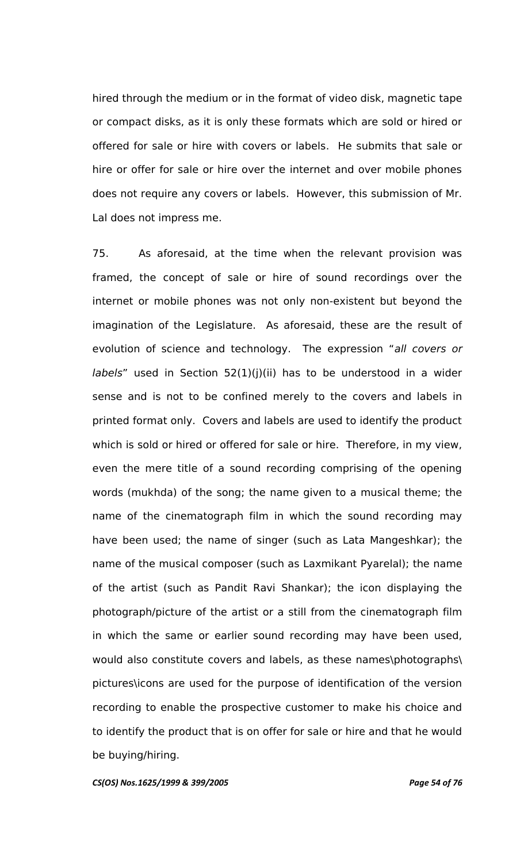hired through the medium or in the format of video disk, magnetic tape or compact disks, as it is only these formats which are sold or hired or offered for sale or hire with covers or labels. He submits that sale or hire or offer for sale or hire over the internet and over mobile phones does not require any covers or labels. However, this submission of Mr. Lal does not impress me.

75. As aforesaid, at the time when the relevant provision was framed, the concept of sale or hire of sound recordings over the internet or mobile phones was not only non-existent but beyond the imagination of the Legislature. As aforesaid, these are the result of evolution of science and technology. The expression "*all covers or labels*" used in Section 52(1)(j)(ii) has to be understood in a wider sense and is not to be confined merely to the covers and labels in printed format only. Covers and labels are used to identify the product which is sold or hired or offered for sale or hire. Therefore, in my view, even the mere title of a sound recording comprising of the opening words (mukhda) of the song; the name given to a musical theme; the name of the cinematograph film in which the sound recording may have been used; the name of singer (such as Lata Mangeshkar); the name of the musical composer (such as Laxmikant Pyarelal); the name of the artist (such as Pandit Ravi Shankar); the icon displaying the photograph/picture of the artist or a still from the cinematograph film in which the same or earlier sound recording may have been used, would also constitute covers and labels, as these names\photographs\ pictures\icons are used for the purpose of identification of the version recording to enable the prospective customer to make his choice and to identify the product that is on offer for sale or hire and that he would be buying/hiring.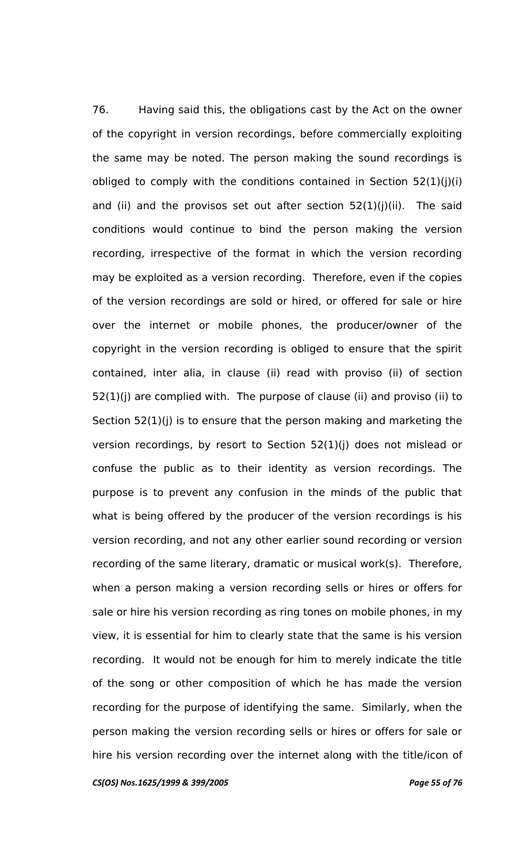76. Having said this, the obligations cast by the Act on the owner of the copyright in version recordings, before commercially exploiting the same may be noted. The person making the sound recordings is obliged to comply with the conditions contained in Section 52(1)(j)(i) and (ii) and the provisos set out after section 52(1)(j)(ii). The said conditions would continue to bind the person making the version recording, irrespective of the format in which the version recording may be exploited as a version recording. Therefore, even if the copies of the version recordings are sold or hired, or offered for sale or hire over the internet or mobile phones, the producer/owner of the copyright in the version recording is obliged to ensure that the spirit contained, inter alia, in clause (ii) read with proviso (ii) of section 52(1)(j) are complied with. The purpose of clause (ii) and proviso (ii) to Section 52(1)(j) is to ensure that the person making and marketing the version recordings, by resort to Section 52(1)(j) does not mislead or confuse the public as to their identity as version recordings. The purpose is to prevent any confusion in the minds of the public that what is being offered by the producer of the version recordings is his version recording, and not any other earlier sound recording or version recording of the same literary, dramatic or musical work(s). Therefore, when a person making a version recording sells or hires or offers for sale or hire his version recording as ring tones on mobile phones, in my view, it is essential for him to clearly state that the same is his version recording. It would not be enough for him to merely indicate the title of the song or other composition of which he has made the version recording for the purpose of identifying the same. Similarly, when the person making the version recording sells or hires or offers for sale or hire his version recording over the internet along with the title/icon of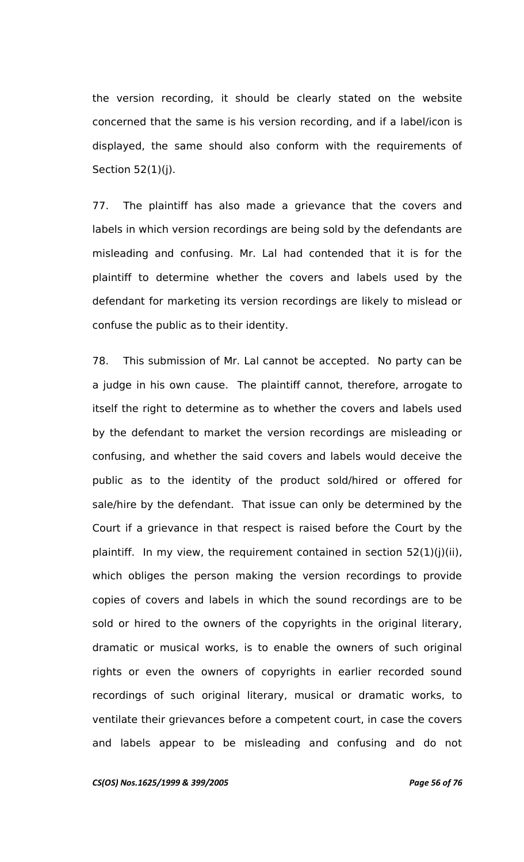the version recording, it should be clearly stated on the website concerned that the same is his version recording, and if a label/icon is displayed, the same should also conform with the requirements of Section 52(1)(j).

77. The plaintiff has also made a grievance that the covers and labels in which version recordings are being sold by the defendants are misleading and confusing. Mr. Lal had contended that it is for the plaintiff to determine whether the covers and labels used by the defendant for marketing its version recordings are likely to mislead or confuse the public as to their identity.

78. This submission of Mr. Lal cannot be accepted. No party can be a judge in his own cause. The plaintiff cannot, therefore, arrogate to itself the right to determine as to whether the covers and labels used by the defendant to market the version recordings are misleading or confusing, and whether the said covers and labels would deceive the public as to the identity of the product sold/hired or offered for sale/hire by the defendant. That issue can only be determined by the Court if a grievance in that respect is raised before the Court by the plaintiff. In my view, the requirement contained in section 52(1)(j)(ii), which obliges the person making the version recordings to provide copies of covers and labels in which the sound recordings are to be sold or hired to the owners of the copyrights in the original literary, dramatic or musical works, is to enable the owners of such original rights or even the owners of copyrights in earlier recorded sound recordings of such original literary, musical or dramatic works, to ventilate their grievances before a competent court, in case the covers and labels appear to be misleading and confusing and do not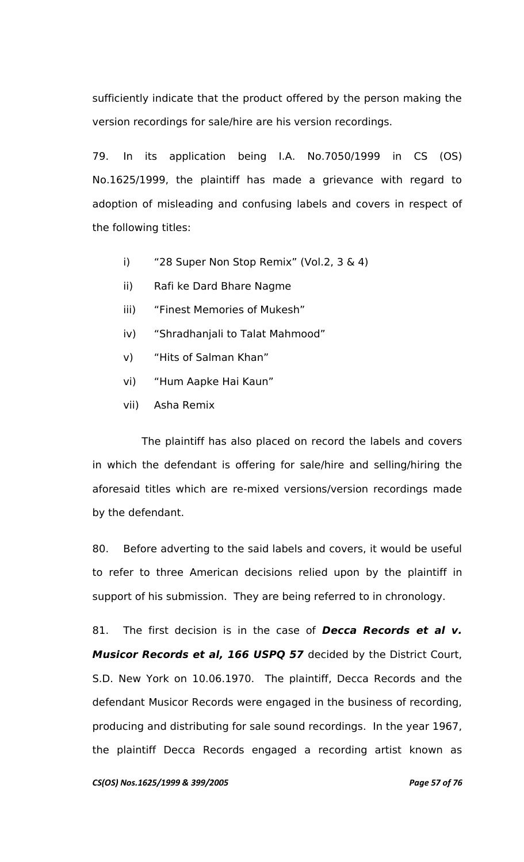sufficiently indicate that the product offered by the person making the version recordings for sale/hire are his version recordings.

79. In its application being I.A. No.7050/1999 in CS (OS) No.1625/1999, the plaintiff has made a grievance with regard to adoption of misleading and confusing labels and covers in respect of the following titles:

- i) "28 Super Non Stop Remix" (Vol.2,  $3 \& 4$ )
- ii) Rafi ke Dard Bhare Nagme
- iii) "Finest Memories of Mukesh"
- iv) "Shradhanjali to Talat Mahmood"
- v) "Hits of Salman Khan"
- vi) "Hum Aapke Hai Kaun"
- vii) Asha Remix

The plaintiff has also placed on record the labels and covers in which the defendant is offering for sale/hire and selling/hiring the aforesaid titles which are re-mixed versions/version recordings made by the defendant.

80. Before adverting to the said labels and covers, it would be useful to refer to three American decisions relied upon by the plaintiff in support of his submission. They are being referred to in chronology.

81. The first decision is in the case of *Decca Records et al v. Musicor Records et al, 166 USPQ 57* decided by the District Court, S.D. New York on 10.06.1970. The plaintiff, Decca Records and the defendant Musicor Records were engaged in the business of recording, producing and distributing for sale sound recordings. In the year 1967, the plaintiff Decca Records engaged a recording artist known as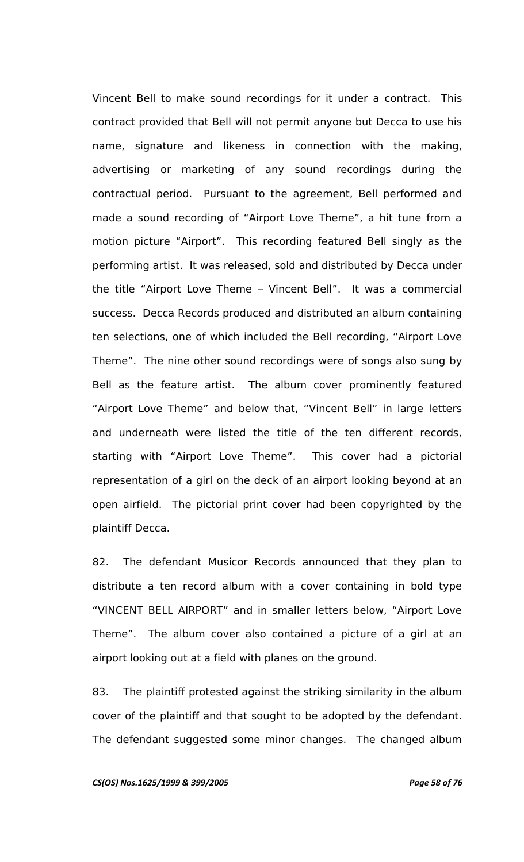Vincent Bell to make sound recordings for it under a contract. This contract provided that Bell will not permit anyone but Decca to use his name, signature and likeness in connection with the making, advertising or marketing of any sound recordings during the contractual period. Pursuant to the agreement, Bell performed and made a sound recording of "Airport Love Theme", a hit tune from a motion picture "Airport". This recording featured Bell singly as the performing artist. It was released, sold and distributed by Decca under the title "Airport Love Theme – Vincent Bell". It was a commercial success. Decca Records produced and distributed an album containing ten selections, one of which included the Bell recording, "Airport Love Theme". The nine other sound recordings were of songs also sung by Bell as the feature artist. The album cover prominently featured "Airport Love Theme" and below that, "Vincent Bell" in large letters and underneath were listed the title of the ten different records, starting with "Airport Love Theme". This cover had a pictorial representation of a girl on the deck of an airport looking beyond at an open airfield. The pictorial print cover had been copyrighted by the plaintiff Decca.

82. The defendant Musicor Records announced that they plan to distribute a ten record album with a cover containing in bold type "VINCENT BELL AIRPORT" and in smaller letters below, "Airport Love Theme". The album cover also contained a picture of a girl at an airport looking out at a field with planes on the ground.

83. The plaintiff protested against the striking similarity in the album cover of the plaintiff and that sought to be adopted by the defendant. The defendant suggested some minor changes. The changed album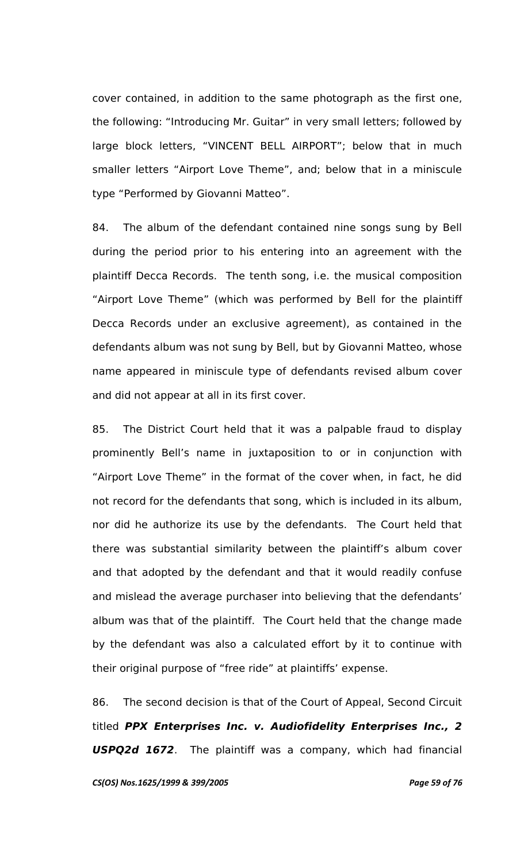cover contained, in addition to the same photograph as the first one, the following: "Introducing Mr. Guitar" in very small letters; followed by large block letters, "VINCENT BELL AIRPORT"; below that in much smaller letters "Airport Love Theme", and; below that in a miniscule type "Performed by Giovanni Matteo".

84. The album of the defendant contained nine songs sung by Bell during the period prior to his entering into an agreement with the plaintiff Decca Records. The tenth song, i.e. the musical composition "Airport Love Theme" (which was performed by Bell for the plaintiff Decca Records under an exclusive agreement), as contained in the defendants album was not sung by Bell, but by Giovanni Matteo, whose name appeared in miniscule type of defendants revised album cover and did not appear at all in its first cover.

85. The District Court held that it was a palpable fraud to display prominently Bell"s name in juxtaposition to or in conjunction with "Airport Love Theme" in the format of the cover when, in fact, he did not record for the defendants that song, which is included in its album, nor did he authorize its use by the defendants. The Court held that there was substantial similarity between the plaintiff"s album cover and that adopted by the defendant and that it would readily confuse and mislead the average purchaser into believing that the defendants" album was that of the plaintiff. The Court held that the change made by the defendant was also a calculated effort by it to continue with their original purpose of "free ride" at plaintiffs' expense.

86. The second decision is that of the Court of Appeal, Second Circuit titled *PPX Enterprises Inc. v. Audiofidelity Enterprises Inc., 2 USPQ2d 1672*. The plaintiff was a company, which had financial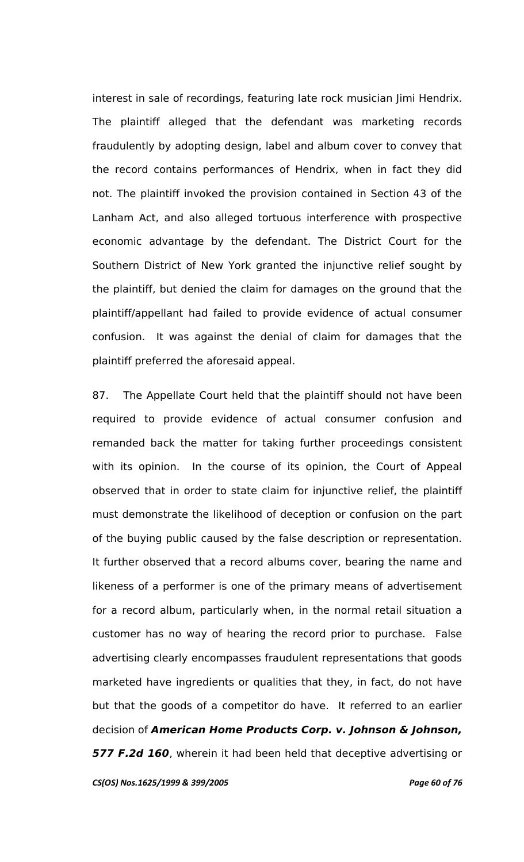interest in sale of recordings, featuring late rock musician Jimi Hendrix. The plaintiff alleged that the defendant was marketing records fraudulently by adopting design, label and album cover to convey that the record contains performances of Hendrix, when in fact they did not. The plaintiff invoked the provision contained in Section 43 of the Lanham Act, and also alleged tortuous interference with prospective economic advantage by the defendant. The District Court for the Southern District of New York granted the injunctive relief sought by the plaintiff, but denied the claim for damages on the ground that the plaintiff/appellant had failed to provide evidence of actual consumer confusion. It was against the denial of claim for damages that the plaintiff preferred the aforesaid appeal.

87. The Appellate Court held that the plaintiff should not have been required to provide evidence of actual consumer confusion and remanded back the matter for taking further proceedings consistent with its opinion. In the course of its opinion, the Court of Appeal observed that in order to state claim for injunctive relief, the plaintiff must demonstrate the likelihood of deception or confusion on the part of the buying public caused by the false description or representation. It further observed that a record albums cover, bearing the name and likeness of a performer is one of the primary means of advertisement for a record album, particularly when, in the normal retail situation a customer has no way of hearing the record prior to purchase. False advertising clearly encompasses fraudulent representations that goods marketed have ingredients or qualities that they, in fact, do not have but that the goods of a competitor do have. It referred to an earlier decision of *American Home Products Corp. v. Johnson & Johnson, 577 F.2d 160*, wherein it had been held that deceptive advertising or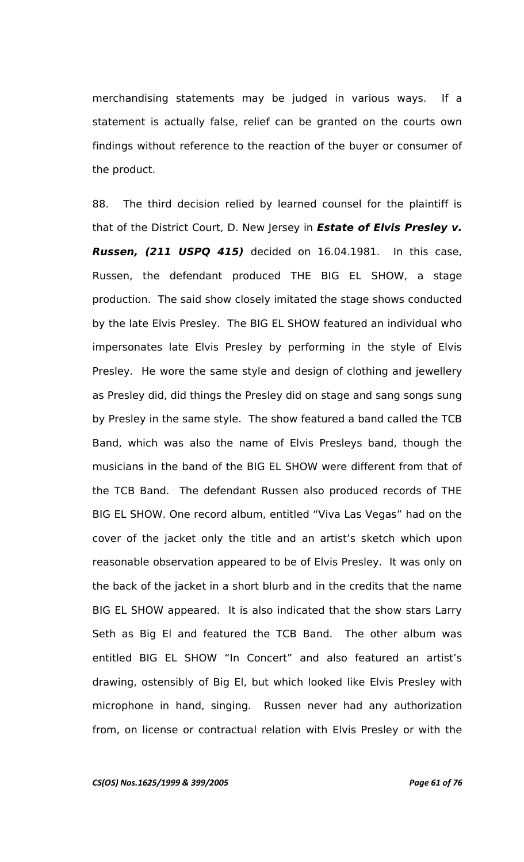merchandising statements may be judged in various ways. If a statement is actually false, relief can be granted on the courts own findings without reference to the reaction of the buyer or consumer of the product.

88. The third decision relied by learned counsel for the plaintiff is that of the District Court, D. New Jersey in *Estate of Elvis Presley v. Russen, (211 USPQ 415)* decided on 16.04.1981. In this case, Russen, the defendant produced THE BIG EL SHOW, a stage production. The said show closely imitated the stage shows conducted by the late Elvis Presley. The BIG EL SHOW featured an individual who impersonates late Elvis Presley by performing in the style of Elvis Presley. He wore the same style and design of clothing and jewellery as Presley did, did things the Presley did on stage and sang songs sung by Presley in the same style. The show featured a band called the TCB Band, which was also the name of Elvis Presleys band, though the musicians in the band of the BIG EL SHOW were different from that of the TCB Band. The defendant Russen also produced records of THE BIG EL SHOW. One record album, entitled "Viva Las Vegas" had on the cover of the jacket only the title and an artist"s sketch which upon reasonable observation appeared to be of Elvis Presley. It was only on the back of the jacket in a short blurb and in the credits that the name BIG EL SHOW appeared. It is also indicated that the show stars Larry Seth as Big El and featured the TCB Band. The other album was entitled BIG EL SHOW "In Concert" and also featured an artist"s drawing, ostensibly of Big El, but which looked like Elvis Presley with microphone in hand, singing. Russen never had any authorization from, on license or contractual relation with Elvis Presley or with the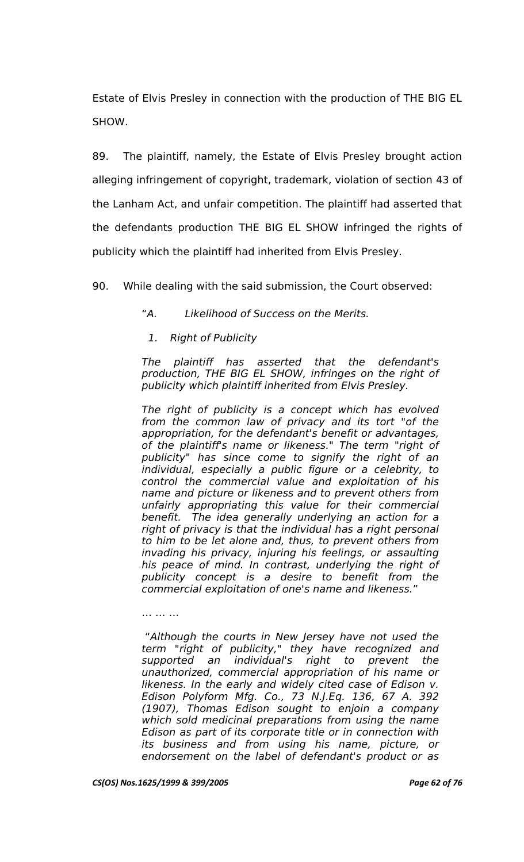Estate of Elvis Presley in connection with the production of THE BIG EL SHOW.

89. The plaintiff, namely, the Estate of Elvis Presley brought action alleging infringement of copyright, trademark, violation of section 43 of the Lanham Act, and unfair competition. The plaintiff had asserted that the defendants production THE BIG EL SHOW infringed the rights of publicity which the plaintiff had inherited from Elvis Presley.

90. While dealing with the said submission, the Court observed:

"*A. Likelihood of Success on the Merits.* 

## *1. Right of Publicity*

*The plaintiff has asserted that the defendant's production, THE BIG EL SHOW, infringes on the right of publicity which plaintiff inherited from Elvis Presley.*

*The right of publicity is a concept which has evolved from the common law of privacy and its tort "of the appropriation, for the defendant's benefit or advantages, of the plaintiff's name or likeness." The term "right of publicity" has since come to signify the right of an individual, especially a public figure or a celebrity, to control the commercial value and exploitation of his name and picture or likeness and to prevent others from unfairly appropriating this value for their commercial benefit. The idea generally underlying an action for a right of privacy is that the individual has a right personal to him to be let alone and, thus, to prevent others from invading his privacy, injuring his feelings, or assaulting his peace of mind. In contrast, underlying the right of publicity concept is a desire to benefit from the commercial exploitation of one's name and likeness.*"

"*Although the courts in New Jersey have not used the term "right of publicity," they have recognized and supported an individual's right to prevent the unauthorized, commercial appropriation of his name or likeness. In the early and widely cited case of Edison v. Edison Polyform Mfg. Co., 73 N.J.Eq. 136, 67 A. 392 (1907), Thomas Edison sought to enjoin a company which sold medicinal preparations from using the name Edison as part of its corporate title or in connection with its business and from using his name, picture, or endorsement on the label of defendant's product or as* 

*CS(OS) Nos.1625/1999 & 399/2005 Page 62 of 76*

… … …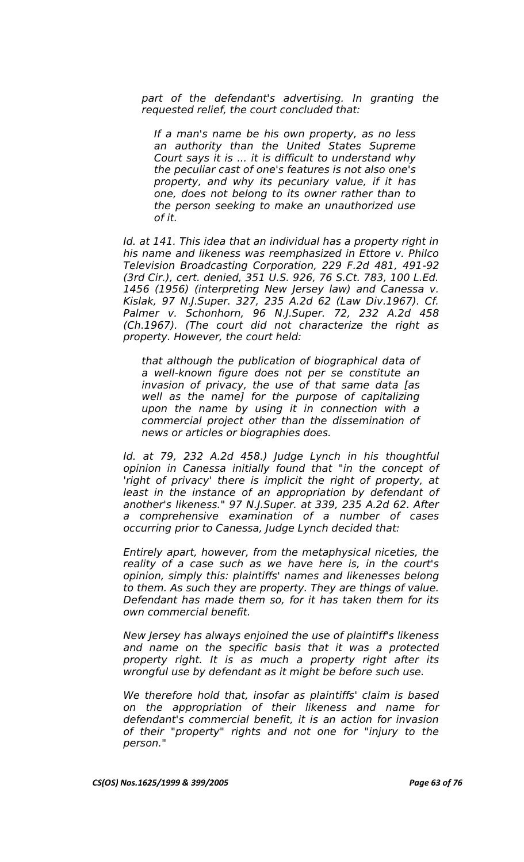*part of the defendant's advertising. In granting the requested relief, the court concluded that:* 

*If a man's name be his own property, as no less an authority than the United States Supreme Court says it is ... it is difficult to understand why the peculiar cast of one's features is not also one's property, and why its pecuniary value, if it has one, does not belong to its owner rather than to the person seeking to make an unauthorized use of it.*

*Id. at 141. This idea that an individual has a property right in his name and likeness was reemphasized in Ettore v. Philco Television Broadcasting Corporation, 229 F.2d 481, 491-92 (3rd Cir.), cert. denied, 351 U.S. 926, 76 S.Ct. 783, 100 L.Ed. 1456 (1956) (interpreting New Jersey law) and Canessa v. Kislak, 97 N.J.Super. 327, 235 A.2d 62 (Law Div.1967). Cf. Palmer v. Schonhorn, 96 N.J.Super. 72, 232 A.2d 458 (Ch.1967). (The court did not characterize the right as property. However, the court held:* 

*that although the publication of biographical data of a well-known figure does not per se constitute an invasion of privacy, the use of that same data [as well as the name] for the purpose of capitalizing upon the name by using it in connection with a commercial project other than the dissemination of news or articles or biographies does.*

*Id. at 79, 232 A.2d 458.) Judge Lynch in his thoughtful opinion in Canessa initially found that "in the concept of 'right of privacy' there is implicit the right of property, at least in the instance of an appropriation by defendant of another's likeness." 97 N.J.Super. at 339, 235 A.2d 62. After a comprehensive examination of a number of cases occurring prior to Canessa, Judge Lynch decided that:*

*Entirely apart, however, from the metaphysical niceties, the reality of a case such as we have here is, in the court's opinion, simply this: plaintiffs' names and likenesses belong to them. As such they are property. They are things of value. Defendant has made them so, for it has taken them for its own commercial benefit.*

*New Jersey has always enjoined the use of plaintiff's likeness and name on the specific basis that it was a protected property right. It is as much a property right after its wrongful use by defendant as it might be before such use.*

*We therefore hold that, insofar as plaintiffs' claim is based on the appropriation of their likeness and name for defendant's commercial benefit, it is an action for invasion of their "property" rights and not one for "injury to the person."*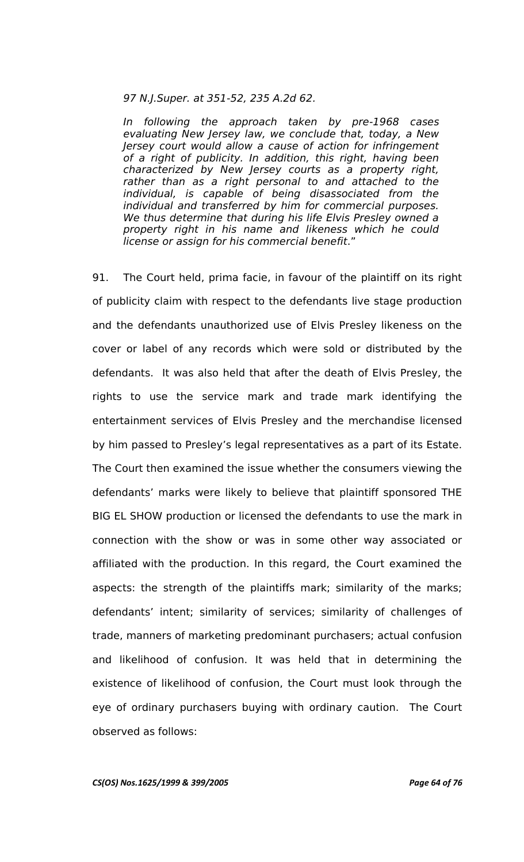*97 N.J.Super. at 351-52, 235 A.2d 62.*

*In following the approach taken by pre-1968 cases evaluating New Jersey law, we conclude that, today, a New Jersey court would allow a cause of action for infringement of a right of publicity. In addition, this right, having been characterized by New Jersey courts as a property right, rather than as a right personal to and attached to the individual, is capable of being disassociated from the individual and transferred by him for commercial purposes. We thus determine that during his life Elvis Presley owned a property right in his name and likeness which he could license or assign for his commercial benefit*."

91. The Court held, prima facie, in favour of the plaintiff on its right of publicity claim with respect to the defendants live stage production and the defendants unauthorized use of Elvis Presley likeness on the cover or label of any records which were sold or distributed by the defendants. It was also held that after the death of Elvis Presley, the rights to use the service mark and trade mark identifying the entertainment services of Elvis Presley and the merchandise licensed by him passed to Presley"s legal representatives as a part of its Estate. The Court then examined the issue whether the consumers viewing the defendants' marks were likely to believe that plaintiff sponsored THE BIG EL SHOW production or licensed the defendants to use the mark in connection with the show or was in some other way associated or affiliated with the production. In this regard, the Court examined the aspects: the strength of the plaintiffs mark; similarity of the marks; defendants' intent; similarity of services; similarity of challenges of trade, manners of marketing predominant purchasers; actual confusion and likelihood of confusion. It was held that in determining the existence of likelihood of confusion, the Court must look through the eye of ordinary purchasers buying with ordinary caution. The Court observed as follows: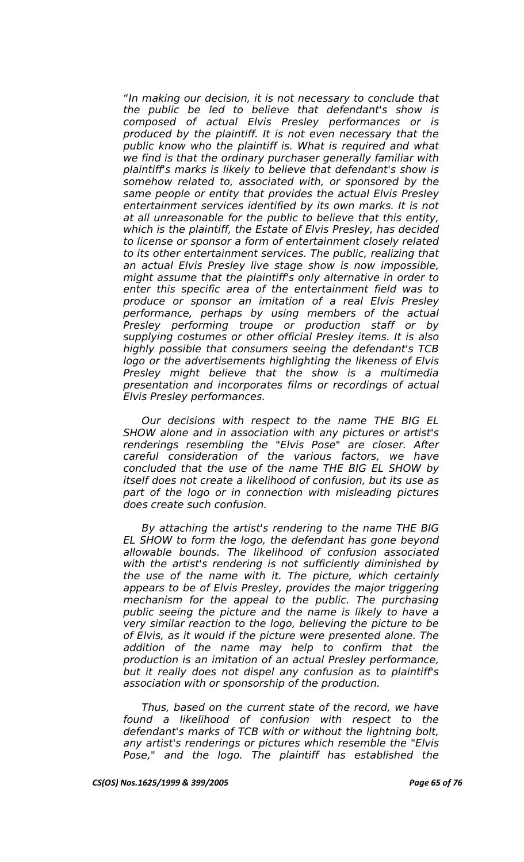"*In making our decision, it is not necessary to conclude that the public be led to believe that defendant's show is composed of actual Elvis Presley performances or is produced by the plaintiff. It is not even necessary that the public know who the plaintiff is. What is required and what we find is that the ordinary purchaser generally familiar with plaintiff's marks is likely to believe that defendant's show is somehow related to, associated with, or sponsored by the same people or entity that provides the actual Elvis Presley entertainment services identified by its own marks. It is not at all unreasonable for the public to believe that this entity, which is the plaintiff, the Estate of Elvis Presley, has decided to license or sponsor a form of entertainment closely related to its other entertainment services. The public, realizing that an actual Elvis Presley live stage show is now impossible, might assume that the plaintiff's only alternative in order to enter this specific area of the entertainment field was to produce or sponsor an imitation of a real Elvis Presley performance, perhaps by using members of the actual Presley performing troupe or production staff or by supplying costumes or other official Presley items. It is also highly possible that consumers seeing the defendant's TCB logo or the advertisements highlighting the likeness of Elvis Presley might believe that the show is a multimedia presentation and incorporates films or recordings of actual Elvis Presley performances.*

*Our decisions with respect to the name THE BIG EL SHOW alone and in association with any pictures or artist's renderings resembling the "Elvis Pose" are closer. After careful consideration of the various factors, we have concluded that the use of the name THE BIG EL SHOW by itself does not create a likelihood of confusion, but its use as part of the logo or in connection with misleading pictures does create such confusion.*

*By attaching the artist's rendering to the name THE BIG EL SHOW to form the logo, the defendant has gone beyond allowable bounds. The likelihood of confusion associated with the artist's rendering is not sufficiently diminished by the use of the name with it. The picture, which certainly appears to be of Elvis Presley, provides the major triggering mechanism for the appeal to the public. The purchasing public seeing the picture and the name is likely to have a very similar reaction to the logo, believing the picture to be of Elvis, as it would if the picture were presented alone. The addition of the name may help to confirm that the production is an imitation of an actual Presley performance, but it really does not dispel any confusion as to plaintiff's association with or sponsorship of the production.*

*Thus, based on the current state of the record, we have found a likelihood of confusion with respect to the defendant's marks of TCB with or without the lightning bolt, any artist's renderings or pictures which resemble the "Elvis Pose," and the logo. The plaintiff has established the*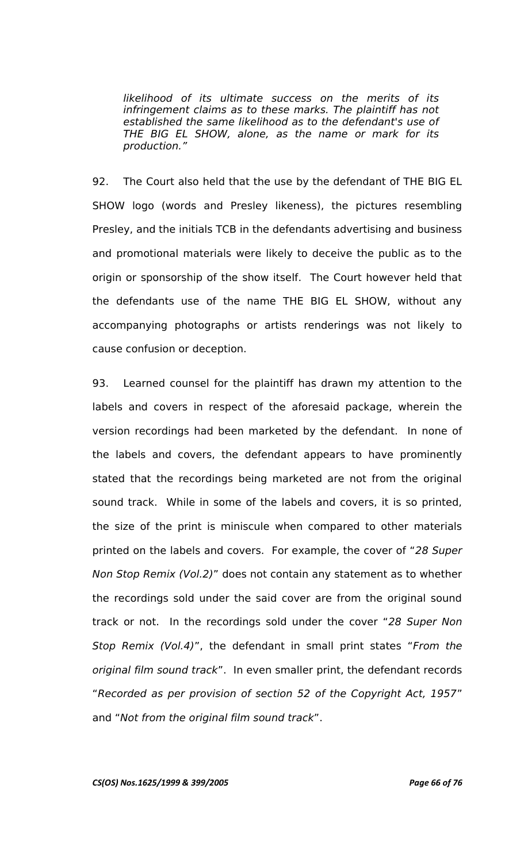*likelihood of its ultimate success on the merits of its infringement claims as to these marks. The plaintiff has not established the same likelihood as to the defendant's use of THE BIG EL SHOW, alone, as the name or mark for its production."*

92. The Court also held that the use by the defendant of THE BIG EL SHOW logo (words and Presley likeness), the pictures resembling Presley, and the initials TCB in the defendants advertising and business and promotional materials were likely to deceive the public as to the origin or sponsorship of the show itself. The Court however held that the defendants use of the name THE BIG EL SHOW, without any accompanying photographs or artists renderings was not likely to cause confusion or deception.

93. Learned counsel for the plaintiff has drawn my attention to the labels and covers in respect of the aforesaid package, wherein the version recordings had been marketed by the defendant. In none of the labels and covers, the defendant appears to have prominently stated that the recordings being marketed are not from the original sound track. While in some of the labels and covers, it is so printed, the size of the print is miniscule when compared to other materials printed on the labels and covers. For example, the cover of "*28 Super Non Stop Remix (Vol.2)*" does not contain any statement as to whether the recordings sold under the said cover are from the original sound track or not. In the recordings sold under the cover "*28 Super Non Stop Remix (Vol.4)*", the defendant in small print states "*From the original film sound track*". In even smaller print, the defendant records "*Recorded as per provision of section 52 of the Copyright Act, 1957*" and "*Not from the original film sound track*".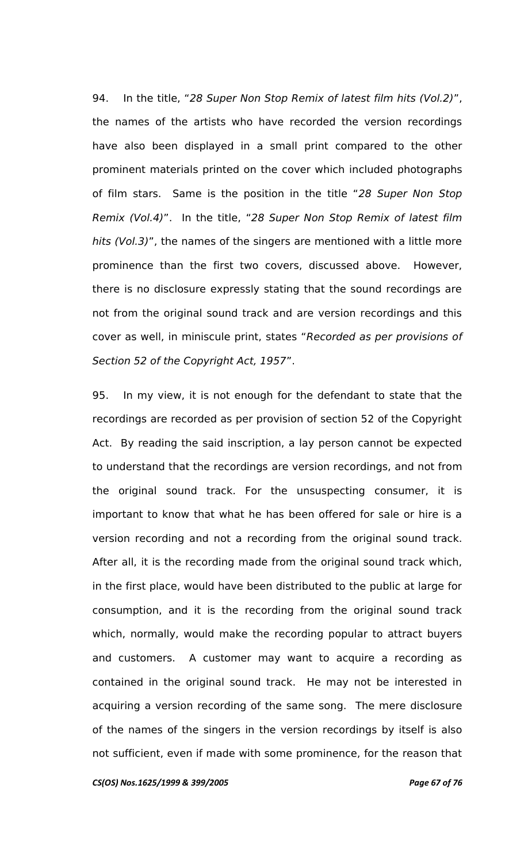94. In the title, "*28 Super Non Stop Remix of latest film hits (Vol.2)*", the names of the artists who have recorded the version recordings have also been displayed in a small print compared to the other prominent materials printed on the cover which included photographs of film stars. Same is the position in the title "*28 Super Non Stop Remix (Vol.4)*". In the title, "*28 Super Non Stop Remix of latest film hits (Vol.3)*", the names of the singers are mentioned with a little more prominence than the first two covers, discussed above. However, there is no disclosure expressly stating that the sound recordings are not from the original sound track and are version recordings and this cover as well, in miniscule print, states "*Recorded as per provisions of Section 52 of the Copyright Act, 1957*".

95. In my view, it is not enough for the defendant to state that the recordings are recorded as per provision of section 52 of the Copyright Act. By reading the said inscription, a lay person cannot be expected to understand that the recordings are version recordings, and not from the original sound track. For the unsuspecting consumer, it is important to know that what he has been offered for sale or hire is a version recording and not a recording from the original sound track. After all, it is the recording made from the original sound track which, in the first place, would have been distributed to the public at large for consumption, and it is the recording from the original sound track which, normally, would make the recording popular to attract buyers and customers. A customer may want to acquire a recording as contained in the original sound track. He may not be interested in acquiring a version recording of the same song. The mere disclosure of the names of the singers in the version recordings by itself is also not sufficient, even if made with some prominence, for the reason that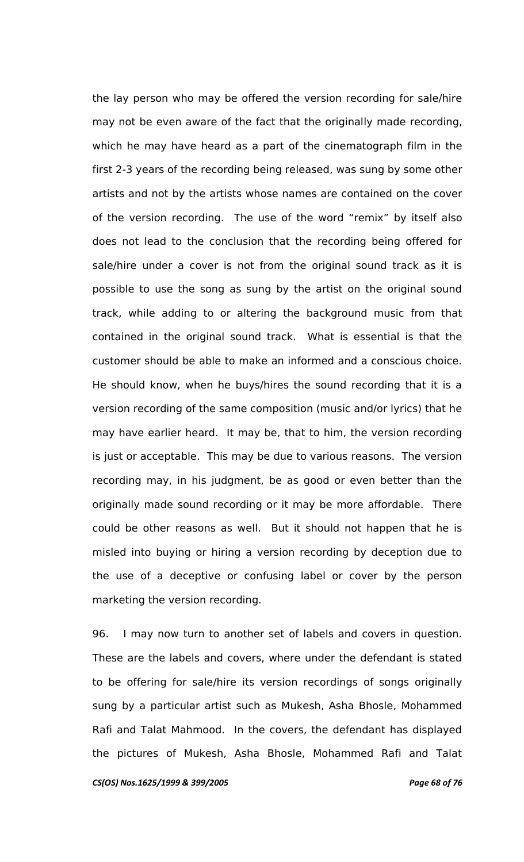the lay person who may be offered the version recording for sale/hire may not be even aware of the fact that the originally made recording, which he may have heard as a part of the cinematograph film in the first 2-3 years of the recording being released, was sung by some other artists and not by the artists whose names are contained on the cover of the version recording. The use of the word "remix" by itself also does not lead to the conclusion that the recording being offered for sale/hire under a cover is not from the original sound track as it is possible to use the song as sung by the artist on the original sound track, while adding to or altering the background music from that contained in the original sound track. What is essential is that the customer should be able to make an informed and a conscious choice. He should know, when he buys/hires the sound recording that it is a version recording of the same composition (music and/or lyrics) that he may have earlier heard. It may be, that to him, the version recording is just or acceptable. This may be due to various reasons. The version recording may, in his judgment, be as good or even better than the originally made sound recording or it may be more affordable. There could be other reasons as well. But it should not happen that he is misled into buying or hiring a version recording by deception due to the use of a deceptive or confusing label or cover by the person marketing the version recording.

96. I may now turn to another set of labels and covers in question. These are the labels and covers, where under the defendant is stated to be offering for sale/hire its version recordings of songs originally sung by a particular artist such as Mukesh, Asha Bhosle, Mohammed Rafi and Talat Mahmood. In the covers, the defendant has displayed the pictures of Mukesh, Asha Bhosle, Mohammed Rafi and Talat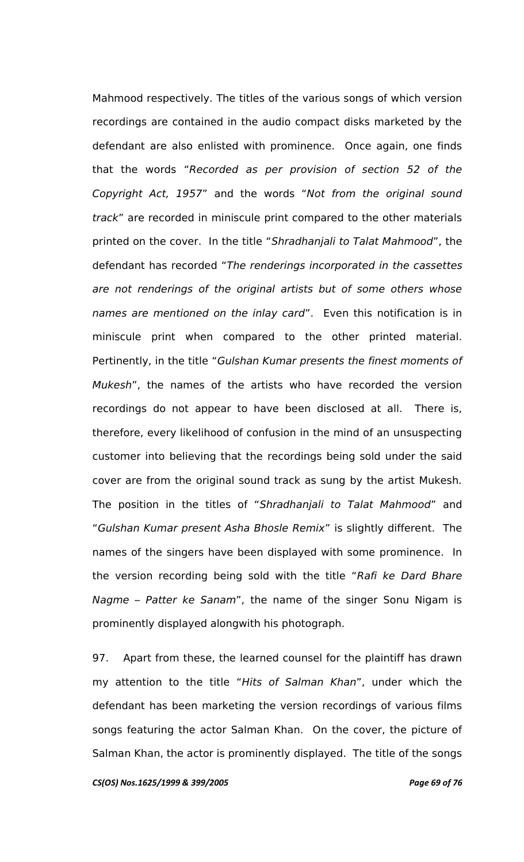Mahmood respectively. The titles of the various songs of which version recordings are contained in the audio compact disks marketed by the defendant are also enlisted with prominence. Once again, one finds that the words "*Recorded as per provision of section 52 of the Copyright Act, 1957*" and the words "*Not from the original sound track*" are recorded in miniscule print compared to the other materials printed on the cover. In the title "*Shradhanjali to Talat Mahmood*", the defendant has recorded "*The renderings incorporated in the cassettes are not renderings of the original artists but of some others whose names are mentioned on the inlay card*". Even this notification is in miniscule print when compared to the other printed material. Pertinently, in the title "*Gulshan Kumar presents the finest moments of Mukesh*", the names of the artists who have recorded the version recordings do not appear to have been disclosed at all. There is, therefore, every likelihood of confusion in the mind of an unsuspecting customer into believing that the recordings being sold under the said cover are from the original sound track as sung by the artist Mukesh. The position in the titles of "*Shradhanjali to Talat Mahmood*" and "*Gulshan Kumar present Asha Bhosle Remix*" is slightly different. The names of the singers have been displayed with some prominence. In the version recording being sold with the title "*Rafi ke Dard Bhare Nagme – Patter ke Sanam*", the name of the singer Sonu Nigam is prominently displayed alongwith his photograph.

97. Apart from these, the learned counsel for the plaintiff has drawn my attention to the title "*Hits of Salman Khan*", under which the defendant has been marketing the version recordings of various films songs featuring the actor Salman Khan. On the cover, the picture of Salman Khan, the actor is prominently displayed. The title of the songs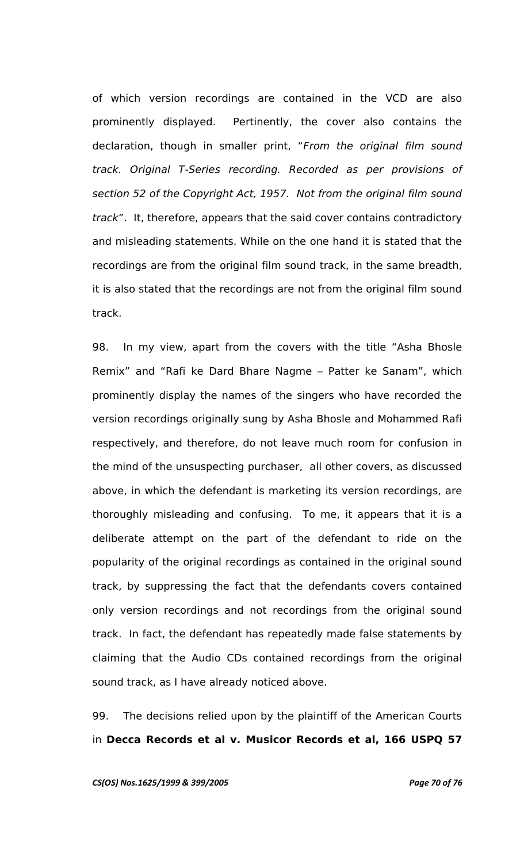of which version recordings are contained in the VCD are also prominently displayed. Pertinently, the cover also contains the declaration, though in smaller print, "*From the original film sound track. Original T-Series recording. Recorded as per provisions of section 52 of the Copyright Act, 1957. Not from the original film sound track*". It, therefore, appears that the said cover contains contradictory and misleading statements. While on the one hand it is stated that the recordings are from the original film sound track, in the same breadth, it is also stated that the recordings are not from the original film sound track.

98. In my view, apart from the covers with the title "Asha Bhosle Remix" and "Rafi ke Dard Bhare Nagme – Patter ke Sanam", which prominently display the names of the singers who have recorded the version recordings originally sung by Asha Bhosle and Mohammed Rafi respectively, and therefore, do not leave much room for confusion in the mind of the unsuspecting purchaser, all other covers, as discussed above, in which the defendant is marketing its version recordings, are thoroughly misleading and confusing. To me, it appears that it is a deliberate attempt on the part of the defendant to ride on the popularity of the original recordings as contained in the original sound track, by suppressing the fact that the defendants covers contained only version recordings and not recordings from the original sound track. In fact, the defendant has repeatedly made false statements by claiming that the Audio CDs contained recordings from the original sound track, as I have already noticed above.

99. The decisions relied upon by the plaintiff of the American Courts in **Decca Records et al v. Musicor Records et al, 166 USPQ 57**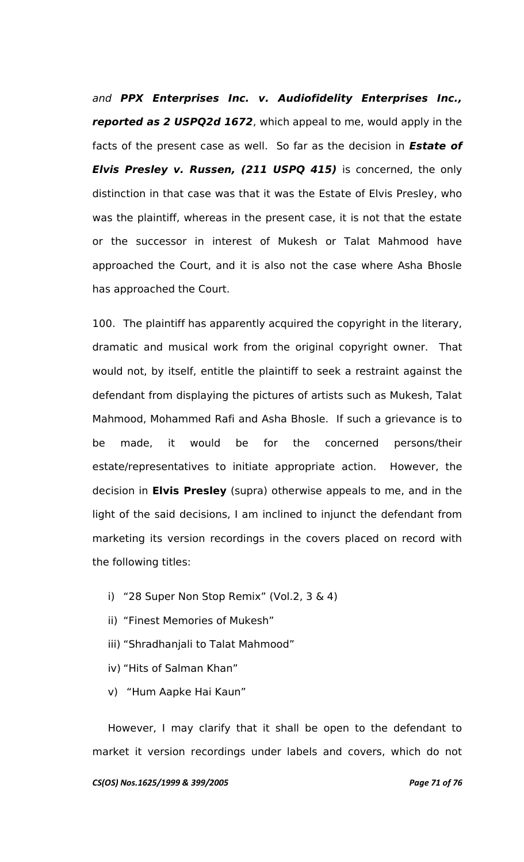*and PPX Enterprises Inc. v. Audiofidelity Enterprises Inc., reported as 2 USPQ2d 1672*, which appeal to me, would apply in the facts of the present case as well. So far as the decision in *Estate of Elvis Presley v. Russen, (211 USPQ 415)* is concerned, the only distinction in that case was that it was the Estate of Elvis Presley, who was the plaintiff, whereas in the present case, it is not that the estate or the successor in interest of Mukesh or Talat Mahmood have approached the Court, and it is also not the case where Asha Bhosle has approached the Court.

100. The plaintiff has apparently acquired the copyright in the literary, dramatic and musical work from the original copyright owner. That would not, by itself, entitle the plaintiff to seek a restraint against the defendant from displaying the pictures of artists such as Mukesh, Talat Mahmood, Mohammed Rafi and Asha Bhosle. If such a grievance is to be made, it would be for the concerned persons/their estate/representatives to initiate appropriate action. However, the decision in **Elvis Presley** (supra) otherwise appeals to me, and in the light of the said decisions, I am inclined to injunct the defendant from marketing its version recordings in the covers placed on record with the following titles:

- i) "28 Super Non Stop Remix" (Vol.2,  $3 \& 4$ )
- ii) "Finest Memories of Mukesh"
- iii) "Shradhanjali to Talat Mahmood"
- iv) "Hits of Salman Khan"
- v) "Hum Aapke Hai Kaun"

However, I may clarify that it shall be open to the defendant to market it version recordings under labels and covers, which do not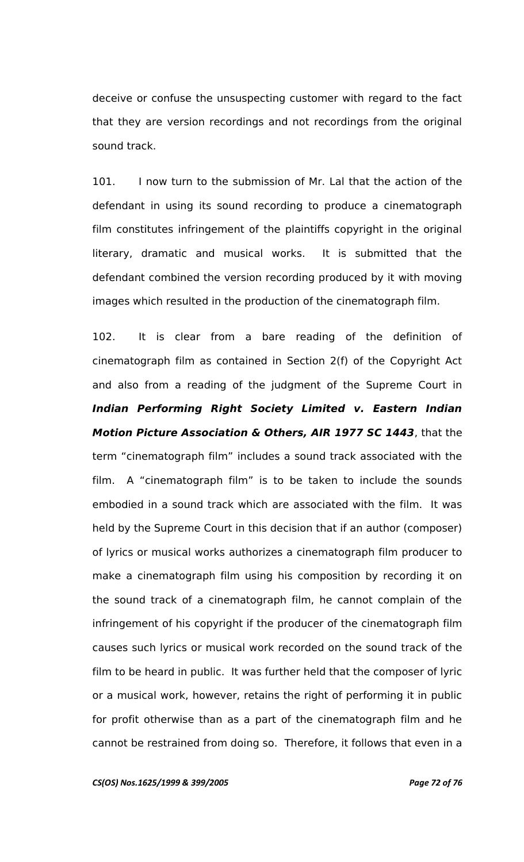deceive or confuse the unsuspecting customer with regard to the fact that they are version recordings and not recordings from the original sound track.

101. I now turn to the submission of Mr. Lal that the action of the defendant in using its sound recording to produce a cinematograph film constitutes infringement of the plaintiffs copyright in the original literary, dramatic and musical works. It is submitted that the defendant combined the version recording produced by it with moving images which resulted in the production of the cinematograph film.

102. It is clear from a bare reading of the definition of cinematograph film as contained in Section 2(f) of the Copyright Act and also from a reading of the judgment of the Supreme Court in *Indian Performing Right Society Limited v. Eastern Indian Motion Picture Association & Others, AIR 1977 SC 1443*, that the term "cinematograph film" includes a sound track associated with the film. A "cinematograph film" is to be taken to include the sounds embodied in a sound track which are associated with the film. It was held by the Supreme Court in this decision that if an author (composer) of lyrics or musical works authorizes a cinematograph film producer to make a cinematograph film using his composition by recording it on the sound track of a cinematograph film, he cannot complain of the infringement of his copyright if the producer of the cinematograph film causes such lyrics or musical work recorded on the sound track of the film to be heard in public. It was further held that the composer of lyric or a musical work, however, retains the right of performing it in public for profit otherwise than as a part of the cinematograph film and he cannot be restrained from doing so. Therefore, it follows that even in a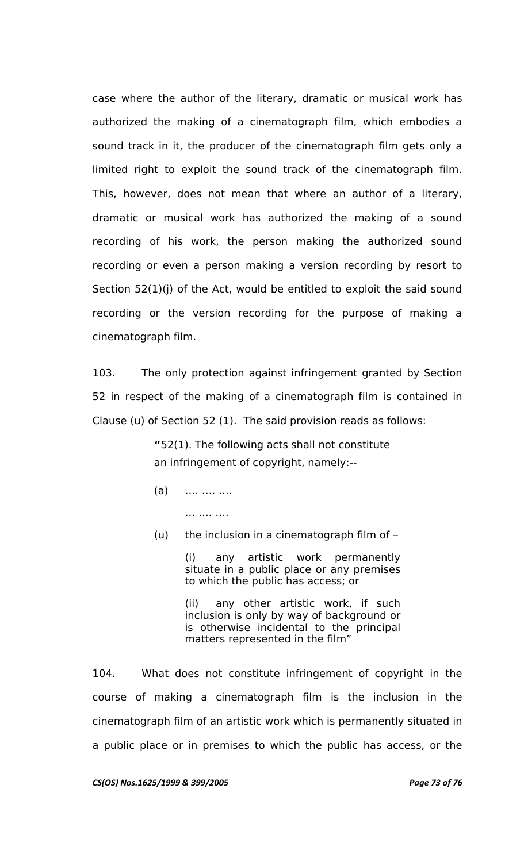case where the author of the literary, dramatic or musical work has authorized the making of a cinematograph film, which embodies a sound track in it, the producer of the cinematograph film gets only a limited right to exploit the sound track of the cinematograph film. This, however, does not mean that where an author of a literary, dramatic or musical work has authorized the making of a sound recording of his work, the person making the authorized sound recording or even a person making a version recording by resort to Section 52(1)(j) of the Act, would be entitled to exploit the said sound recording or the version recording for the purpose of making a cinematograph film.

103. The only protection against infringement granted by Section 52 in respect of the making of a cinematograph film is contained in Clause (u) of Section 52 (1). The said provision reads as follows:

> **"**52(1). The following acts shall not constitute an infringement of copyright, namely:--

(a) …. …. ….

……………

(u) the inclusion in a cinematograph film of –

(i) any artistic work permanently situate in a public place or any premises to which the public has access; or

(ii) any other artistic work, if such inclusion is only by way of background or is otherwise incidental to the principal matters represented in the film"

104. What does not constitute infringement of copyright in the course of making a cinematograph film is the inclusion in the cinematograph film of an artistic work which is permanently situated in a public place or in premises to which the public has access, or the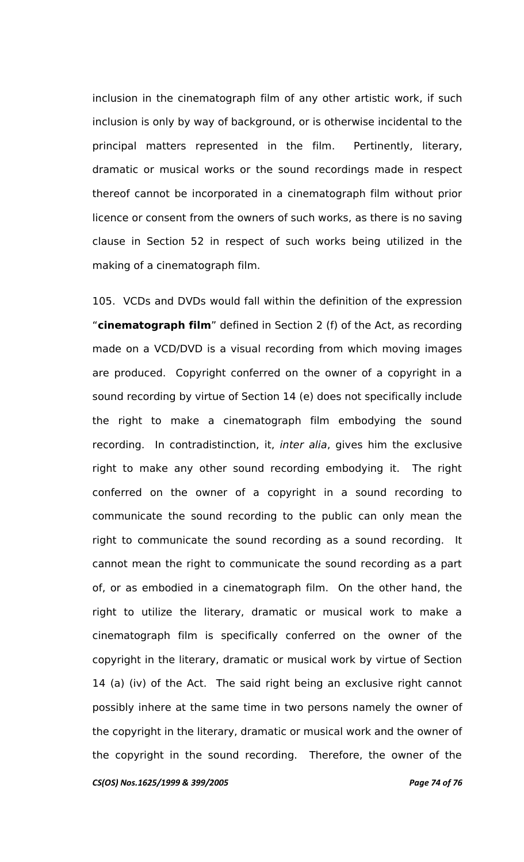inclusion in the cinematograph film of any other artistic work, if such inclusion is only by way of background, or is otherwise incidental to the principal matters represented in the film. Pertinently, literary, dramatic or musical works or the sound recordings made in respect thereof cannot be incorporated in a cinematograph film without prior licence or consent from the owners of such works, as there is no saving clause in Section 52 in respect of such works being utilized in the making of a cinematograph film.

105. VCDs and DVDs would fall within the definition of the expression "**cinematograph film**" defined in Section 2 (f) of the Act, as recording made on a VCD/DVD is a visual recording from which moving images are produced. Copyright conferred on the owner of a copyright in a sound recording by virtue of Section 14 (e) does not specifically include the right to make a cinematograph film embodying the sound recording. In contradistinction, it, *inter alia*, gives him the exclusive right to make any other sound recording embodying it. The right conferred on the owner of a copyright in a sound recording to communicate the sound recording to the public can only mean the right to communicate the sound recording as a sound recording. It cannot mean the right to communicate the sound recording as a part of, or as embodied in a cinematograph film. On the other hand, the right to utilize the literary, dramatic or musical work to make a cinematograph film is specifically conferred on the owner of the copyright in the literary, dramatic or musical work by virtue of Section 14 (a) (iv) of the Act. The said right being an exclusive right cannot possibly inhere at the same time in two persons namely the owner of the copyright in the literary, dramatic or musical work and the owner of the copyright in the sound recording. Therefore, the owner of the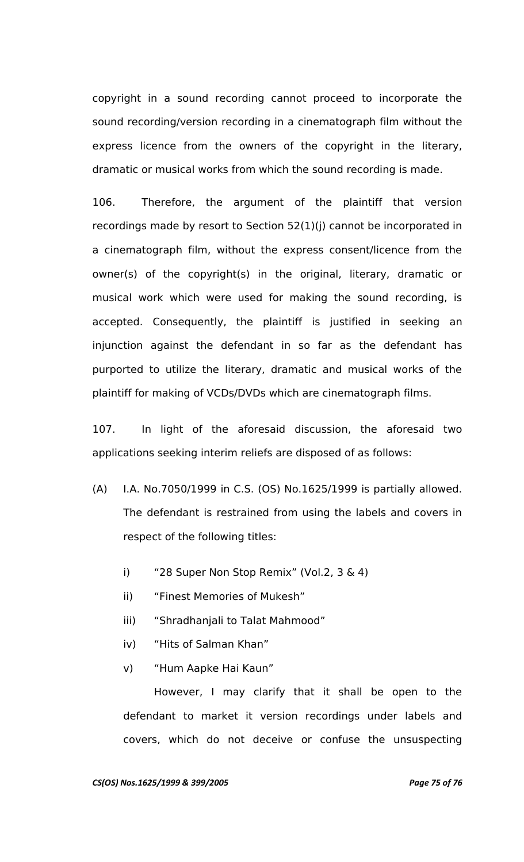copyright in a sound recording cannot proceed to incorporate the sound recording/version recording in a cinematograph film without the express licence from the owners of the copyright in the literary, dramatic or musical works from which the sound recording is made.

106. Therefore, the argument of the plaintiff that version recordings made by resort to Section 52(1)(j) cannot be incorporated in a cinematograph film, without the express consent/licence from the owner(s) of the copyright(s) in the original, literary, dramatic or musical work which were used for making the sound recording, is accepted. Consequently, the plaintiff is justified in seeking an injunction against the defendant in so far as the defendant has purported to utilize the literary, dramatic and musical works of the plaintiff for making of VCDs/DVDs which are cinematograph films.

107. In light of the aforesaid discussion, the aforesaid two applications seeking interim reliefs are disposed of as follows:

- (A) I.A. No.7050/1999 in C.S. (OS) No.1625/1999 is partially allowed. The defendant is restrained from using the labels and covers in respect of the following titles:
	- i) "28 Super Non Stop Remix" (Vol.2,  $3 \& 4$ )
	- ii) "Finest Memories of Mukesh"
	- iii) "Shradhanjali to Talat Mahmood"
	- iv) "Hits of Salman Khan"
	- v) "Hum Aapke Hai Kaun"

However, I may clarify that it shall be open to the defendant to market it version recordings under labels and covers, which do not deceive or confuse the unsuspecting